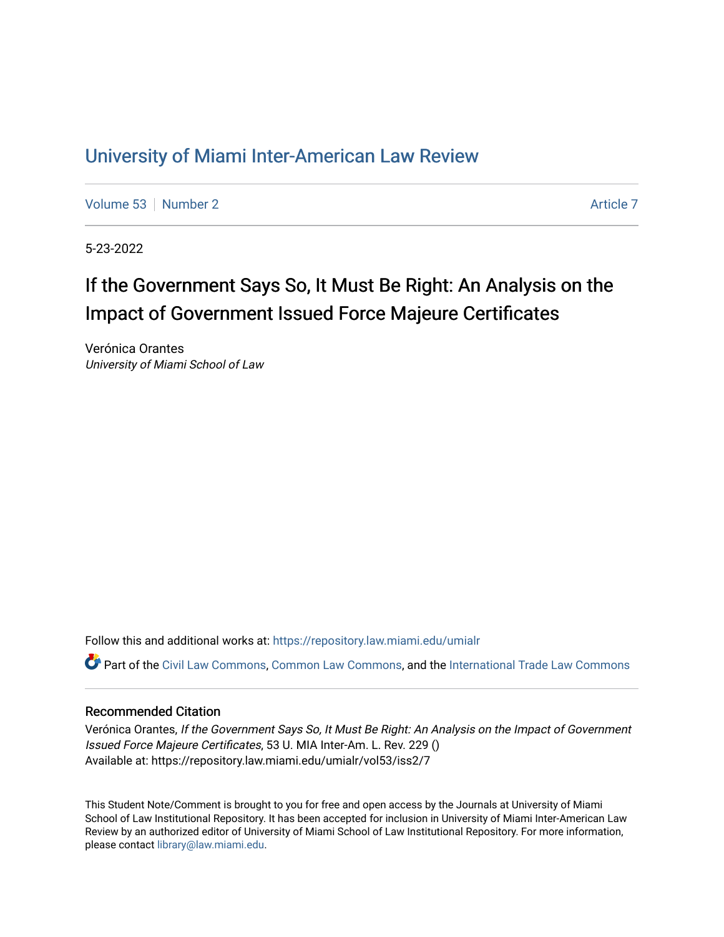## [University of Miami Inter-American Law Review](https://repository.law.miami.edu/umialr)

[Volume 53](https://repository.law.miami.edu/umialr/vol53) [Number 2](https://repository.law.miami.edu/umialr/vol53/iss2) [Article 7](https://repository.law.miami.edu/umialr/vol53/iss2/7) Article 7 Article 7

5-23-2022

# If the Government Says So, It Must Be Right: An Analysis on the Impact of Government Issued Force Majeure Certificates

Verónica Orantes University of Miami School of Law

Follow this and additional works at: [https://repository.law.miami.edu/umialr](https://repository.law.miami.edu/umialr?utm_source=repository.law.miami.edu%2Fumialr%2Fvol53%2Fiss2%2F7&utm_medium=PDF&utm_campaign=PDFCoverPages)

Part of the [Civil Law Commons](https://network.bepress.com/hgg/discipline/835?utm_source=repository.law.miami.edu%2Fumialr%2Fvol53%2Fiss2%2F7&utm_medium=PDF&utm_campaign=PDFCoverPages), [Common Law Commons](https://network.bepress.com/hgg/discipline/1120?utm_source=repository.law.miami.edu%2Fumialr%2Fvol53%2Fiss2%2F7&utm_medium=PDF&utm_campaign=PDFCoverPages), and the [International Trade Law Commons](https://network.bepress.com/hgg/discipline/848?utm_source=repository.law.miami.edu%2Fumialr%2Fvol53%2Fiss2%2F7&utm_medium=PDF&utm_campaign=PDFCoverPages)

## Recommended Citation

Verónica Orantes, If the Government Says So, It Must Be Right: An Analysis on the Impact of Government Issued Force Majeure Certificates, 53 U. MIA Inter-Am. L. Rev. 229 () Available at: https://repository.law.miami.edu/umialr/vol53/iss2/7

This Student Note/Comment is brought to you for free and open access by the Journals at University of Miami School of Law Institutional Repository. It has been accepted for inclusion in University of Miami Inter-American Law Review by an authorized editor of University of Miami School of Law Institutional Repository. For more information, please contact [library@law.miami.edu.](mailto:library@law.miami.edu)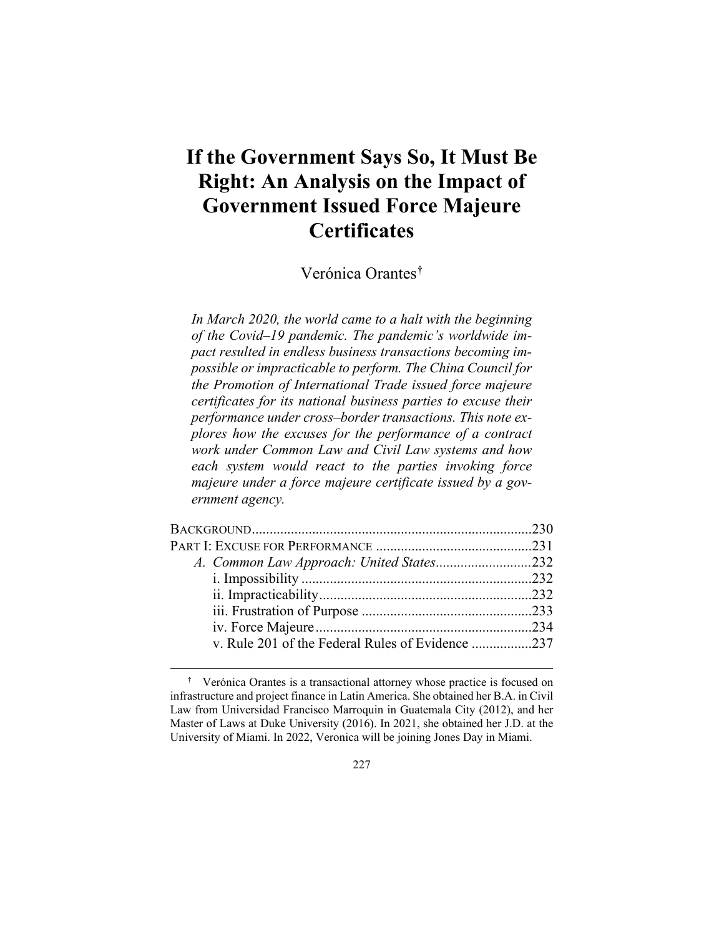# **If the Government Says So, It Must Be Right: An Analysis on the Impact of Government Issued Force Majeure Certificates**

Verónica Orantes[†](#page-1-0)

*In March 2020, the world came to a halt with the beginning of the Covid–19 pandemic. The pandemic's worldwide impact resulted in endless business transactions becoming impossible or impracticable to perform. The China Council for the Promotion of International Trade issued force majeure certificates for its national business parties to excuse their performance under cross–border transactions. This note explores how the excuses for the performance of a contract work under Common Law and Civil Law systems and how each system would react to the parties invoking force majeure under a force majeure certificate issued by a government agency.*

| v. Rule 201 of the Federal Rules of Evidence 237 |  |
|--------------------------------------------------|--|
|                                                  |  |

<span id="page-1-0"></span> <sup>†</sup> Verónica Orantes is a transactional attorney whose practice is focused on infrastructure and project finance in Latin America. She obtained her B.A. in Civil Law from Universidad Francisco Marroquin in Guatemala City (2012), and her Master of Laws at Duke University (2016). In 2021, she obtained her J.D. at the University of Miami. In 2022, Veronica will be joining Jones Day in Miami.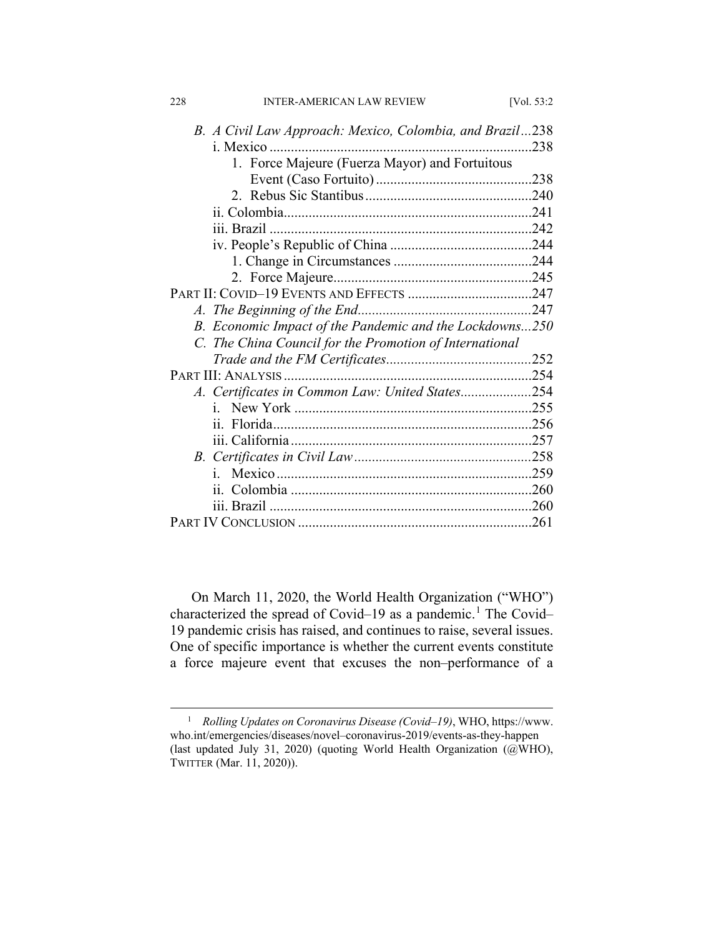| 228<br><b>INTER-AMERICAN LAW REVIEW</b>                  | [Vol. 53:2 |
|----------------------------------------------------------|------------|
| B. A Civil Law Approach: Mexico, Colombia, and Brazil238 |            |
|                                                          | .238       |
| 1. Force Majeure (Fuerza Mayor) and Fortuitous           |            |
|                                                          |            |
|                                                          |            |
|                                                          |            |
|                                                          |            |
|                                                          |            |
|                                                          |            |
|                                                          |            |
|                                                          |            |
|                                                          |            |
| B. Economic Impact of the Pandemic and the Lockdowns250  |            |
| C. The China Council for the Promotion of International  |            |
|                                                          |            |
|                                                          |            |
| A. Certificates in Common Law: United States254          |            |
| $i_{-}$                                                  |            |
|                                                          |            |
|                                                          |            |
|                                                          |            |
| i.                                                       |            |
|                                                          |            |
|                                                          |            |
|                                                          | .261       |

On March 11, 2020, the World Health Organization ("WHO") characterized the spread of Covid–[1](#page-2-0)9 as a pandemic.<sup>1</sup> The Covid– 19 pandemic crisis has raised, and continues to raise, several issues. One of specific importance is whether the current events constitute a force majeure event that excuses the non–performance of a

<span id="page-2-0"></span> <sup>1</sup> *Rolling Updates on Coronavirus Disease (Covid–19)*, WHO, https://www. who.int/emergencies/diseases/novel–coronavirus-2019/events-as-they-happen (last updated July 31, 2020) (quoting World Health Organization (@WHO), TWITTER (Mar. 11, 2020)).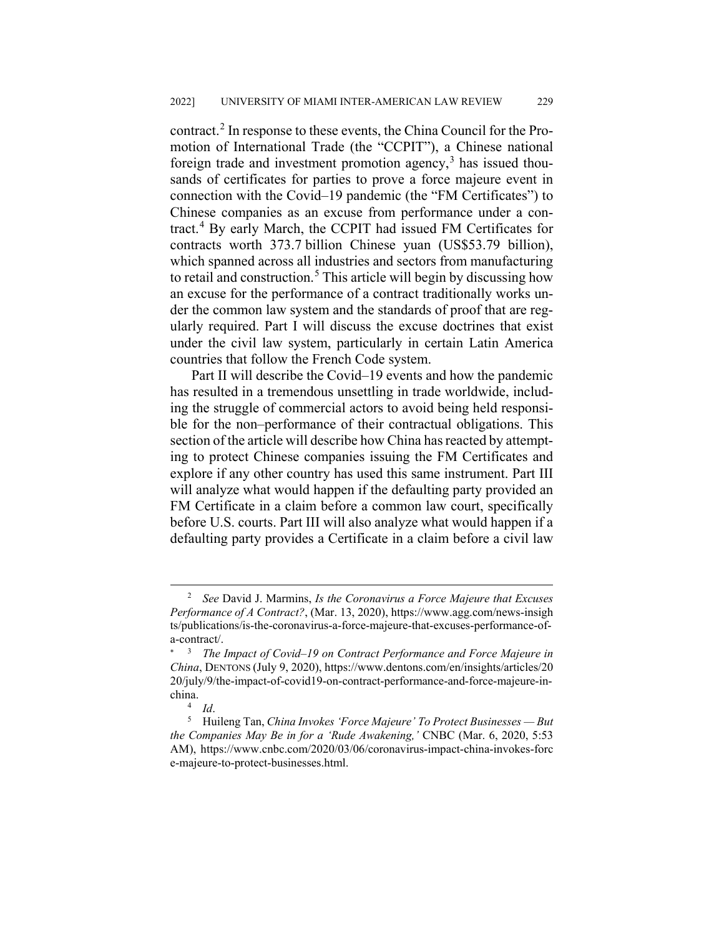contract.[2](#page-3-0) In response to these events, the China Council for the Promotion of International Trade (the "CCPIT"), a Chinese national foreign trade and investment promotion agency, $3$  has issued thousands of certificates for parties to prove a force majeure event in connection with the Covid–19 pandemic (the "FM Certificates") to Chinese companies as an excuse from performance under a contract.[4](#page-3-2) By early March, the CCPIT had issued FM Certificates for contracts worth 373.7 billion Chinese yuan (US\$53.79 billion), which spanned across all industries and sectors from manufacturing to retail and construction.<sup>[5](#page-3-3)</sup> This article will begin by discussing how an excuse for the performance of a contract traditionally works under the common law system and the standards of proof that are regularly required. Part I will discuss the excuse doctrines that exist under the civil law system, particularly in certain Latin America countries that follow the French Code system.

Part II will describe the Covid–19 events and how the pandemic has resulted in a tremendous unsettling in trade worldwide, including the struggle of commercial actors to avoid being held responsible for the non–performance of their contractual obligations. This section of the article will describe how China has reacted by attempting to protect Chinese companies issuing the FM Certificates and explore if any other country has used this same instrument. Part III will analyze what would happen if the defaulting party provided an FM Certificate in a claim before a common law court, specifically before U.S. courts. Part III will also analyze what would happen if a defaulting party provides a Certificate in a claim before a civil law

<span id="page-3-0"></span> <sup>2</sup> *See* David J. Marmins, *Is the Coronavirus a Force Majeure that Excuses Performance of A Contract?*, (Mar. 13, 2020), https://www.agg.com/news-insigh ts/publications/is-the-coronavirus-a-force-majeure-that-excuses-performance-ofa-contract/.

<span id="page-3-1"></span><sup>&</sup>lt;sup>3</sup> *The Impact of Covid–19 on Contract Performance and Force Majeure in China*, DENTONS (July 9, 2020), https://www.dentons.com/en/insights/articles/20 20/july/9/the-impact-of-covid19-on-contract-performance-and-force-majeure-inchina.

<sup>4</sup> *Id*.

<span id="page-3-3"></span><span id="page-3-2"></span><sup>5</sup> Huileng Tan, *China Invokes 'Force Majeure' To Protect Businesses — But the Companies May Be in for a 'Rude Awakening,'* CNBC (Mar. 6, 2020, 5:53 AM), https://www.cnbc.com/2020/03/06/coronavirus-impact-china-invokes-forc e-majeure-to-protect-businesses.html.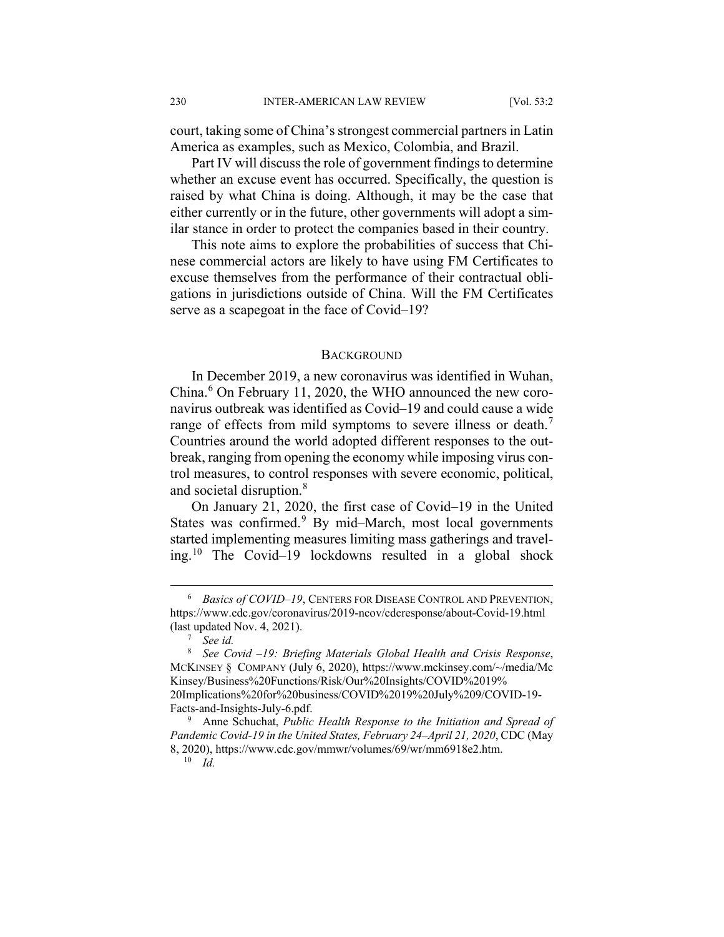court, taking some of China's strongest commercial partners in Latin America as examples, such as Mexico, Colombia, and Brazil.

Part IV will discuss the role of government findings to determine whether an excuse event has occurred. Specifically, the question is raised by what China is doing. Although, it may be the case that either currently or in the future, other governments will adopt a similar stance in order to protect the companies based in their country.

This note aims to explore the probabilities of success that Chinese commercial actors are likely to have using FM Certificates to excuse themselves from the performance of their contractual obligations in jurisdictions outside of China. Will the FM Certificates serve as a scapegoat in the face of Covid–19?

#### BACKGROUND

In December 2019, a new coronavirus was identified in Wuhan, China.<sup>[6](#page-4-0)</sup> On February 11, 2020, the WHO announced the new coronavirus outbreak was identified as Covid–19 and could cause a wide range of effects from mild symptoms to severe illness or death.<sup>[7](#page-4-1)</sup> Countries around the world adopted different responses to the outbreak, ranging from opening the economy while imposing virus control measures, to control responses with severe economic, political, and societal disruption.<sup>[8](#page-4-2)</sup>

On January 21, 2020, the first case of Covid–19 in the United States was confirmed. $9$  By mid–March, most local governments started implementing measures limiting mass gatherings and traveling.[10](#page-4-4) The Covid–19 lockdowns resulted in a global shock

<span id="page-4-0"></span> <sup>6</sup> *Basics of COVID–19*, CENTERS FOR DISEASE CONTROL AND PREVENTION, https://www.cdc.gov/coronavirus/2019-ncov/cdcresponse/about-Covid-19.html (last updated Nov. 4, 2021).

<sup>7</sup> *See id.*

<span id="page-4-2"></span><span id="page-4-1"></span><sup>8</sup> *See Covid –19: Briefing Materials Global Health and Crisis Response*, MCKINSEY § COMPANY (July 6, 2020), https://www.mckinsey.com/~/media/Mc Kinsey/Business%20Functions/Risk/Our%20Insights/COVID%2019% 20Implications%20for%20business/COVID%2019%20July%209/COVID-19- Facts-and-Insights-July-6.pdf.

<span id="page-4-4"></span><span id="page-4-3"></span><sup>9</sup> Anne Schuchat, *Public Health Response to the Initiation and Spread of Pandemic Covid-19 in the United States, February 24–April 21, 2020*, CDC (May 8, 2020), https://www.cdc.gov/mmwr/volumes/69/wr/mm6918e2.htm.

<sup>10</sup> *Id.*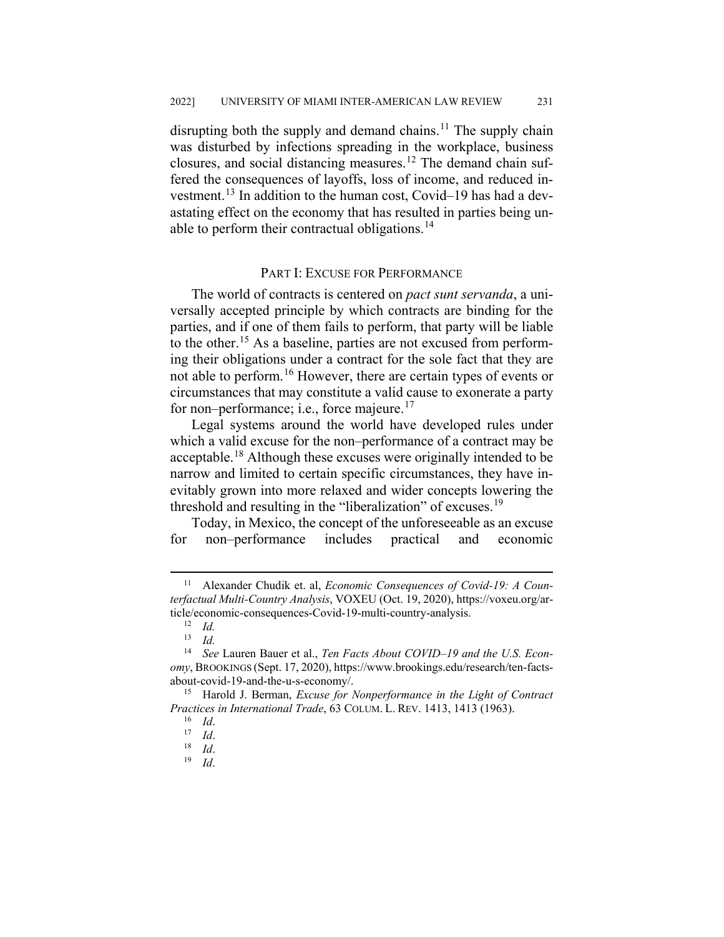disrupting both the supply and demand chains.<sup>[11](#page-5-0)</sup> The supply chain was disturbed by infections spreading in the workplace, business closures, and social distancing measures.[12](#page-5-1) The demand chain suffered the consequences of layoffs, loss of income, and reduced investment.[13](#page-5-2) In addition to the human cost, Covid–19 has had a devastating effect on the economy that has resulted in parties being un-able to perform their contractual obligations.<sup>[14](#page-5-3)</sup>

## PART I: EXCUSE FOR PERFORMANCE

The world of contracts is centered on *pact sunt servanda*, a universally accepted principle by which contracts are binding for the parties, and if one of them fails to perform, that party will be liable to the other.[15](#page-5-4) As a baseline, parties are not excused from performing their obligations under a contract for the sole fact that they are not able to perform.<sup>[16](#page-5-5)</sup> However, there are certain types of events or circumstances that may constitute a valid cause to exonerate a party for non–performance; i.e., force majeure. $17$ 

Legal systems around the world have developed rules under which a valid excuse for the non–performance of a contract may be acceptable.[18](#page-5-7) Although these excuses were originally intended to be narrow and limited to certain specific circumstances, they have inevitably grown into more relaxed and wider concepts lowering the threshold and resulting in the "liberalization" of excuses.<sup>[19](#page-5-8)</sup>

Today, in Mexico, the concept of the unforeseeable as an excuse for non–performance includes practical and economic

<span id="page-5-0"></span> <sup>11</sup> Alexander Chudik et. al, *Economic Consequences of Covid-19: A Counterfactual Multi-Country Analysis*, VOXEU (Oct. 19, 2020), https://voxeu.org/article/economic-consequences-Covid-19-multi-country-analysis.

 $\frac{12}{13}$  *Id.* 

<sup>13</sup> *Id.*

<span id="page-5-3"></span><span id="page-5-2"></span><span id="page-5-1"></span><sup>14</sup> *See* Lauren Bauer et al., *Ten Facts About COVID–19 and the U.S. Economy*, BROOKINGS (Sept. 17, 2020), https://www.brookings.edu/research/ten-factsabout-covid-19-and-the-u-s-economy/.

<span id="page-5-8"></span><span id="page-5-7"></span><span id="page-5-6"></span><span id="page-5-5"></span><span id="page-5-4"></span><sup>15</sup> Harold J. Berman, *Excuse for Nonperformance in the Light of Contract Practices in International Trade*, 63 COLUM. L. REV. 1413, 1413 (1963).

<sup>16</sup> *Id*.

 $\frac{17}{18}$  *Id.* 

 $\frac{18}{19}$  *Id.* 

<sup>19</sup> *Id*.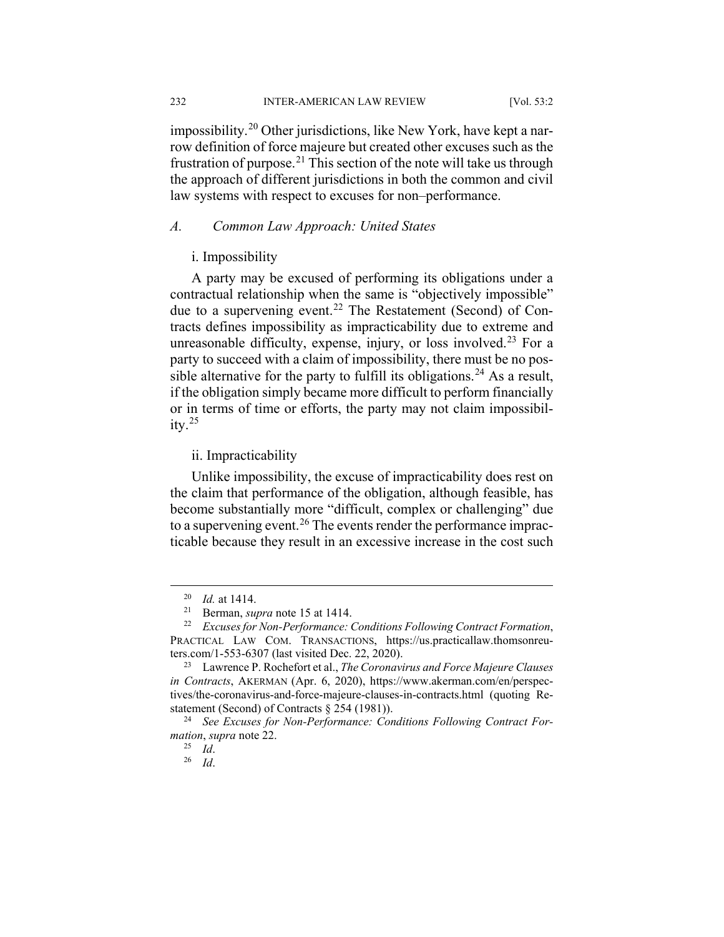232 INTER-AMERICAN LAW REVIEW [Vol. 53:2

impossibility.<sup>[20](#page-6-0)</sup> Other jurisdictions, like New York, have kept a narrow definition of force majeure but created other excuses such as the frustration of purpose.<sup>[21](#page-6-1)</sup> This section of the note will take us through the approach of different jurisdictions in both the common and civil law systems with respect to excuses for non–performance.

## *A. Common Law Approach: United States*

## i. Impossibility

A party may be excused of performing its obligations under a contractual relationship when the same is "objectively impossible" due to a supervening event.<sup>[22](#page-6-2)</sup> The Restatement (Second) of Contracts defines impossibility as impracticability due to extreme and unreasonable difficulty, expense, injury, or loss involved.<sup>[23](#page-6-3)</sup> For a party to succeed with a claim of impossibility, there must be no pos-sible alternative for the party to fulfill its obligations.<sup>[24](#page-6-4)</sup> As a result, if the obligation simply became more difficult to perform financially or in terms of time or efforts, the party may not claim impossibility. $^{25}$  $^{25}$  $^{25}$ 

## ii. Impracticability

Unlike impossibility, the excuse of impracticability does rest on the claim that performance of the obligation, although feasible, has become substantially more "difficult, complex or challenging" due to a supervening event.<sup>[26](#page-6-6)</sup> The events render the performance impracticable because they result in an excessive increase in the cost such

 <sup>20</sup> *Id.* at 1414.

<sup>&</sup>lt;sup>21</sup> Berman, *supra* note 15 at 1414.<br><sup>22</sup> Excuses for Non-Performance:

<span id="page-6-2"></span><span id="page-6-1"></span><span id="page-6-0"></span><sup>22</sup> *Excuses for Non-Performance: Conditions Following Contract Formation*, PRACTICAL LAW COM. TRANSACTIONS, https://us.practicallaw.thomsonreuters.com/1-553-6307 (last visited Dec. 22, 2020).

<span id="page-6-3"></span><sup>23</sup> Lawrence P. Rochefort et al., *The Coronavirus and Force Majeure Clauses in Contracts*, AKERMAN (Apr. 6, 2020), https://www.akerman.com/en/perspectives/the-coronavirus-and-force-majeure-clauses-in-contracts.html (quoting Restatement (Second) of Contracts § 254 (1981)).

<span id="page-6-6"></span><span id="page-6-5"></span><span id="page-6-4"></span><sup>24</sup> *See Excuses for Non-Performance: Conditions Following Contract Formation*, *supra* note 22.

<sup>25</sup> *Id*.

<sup>26</sup> *Id*.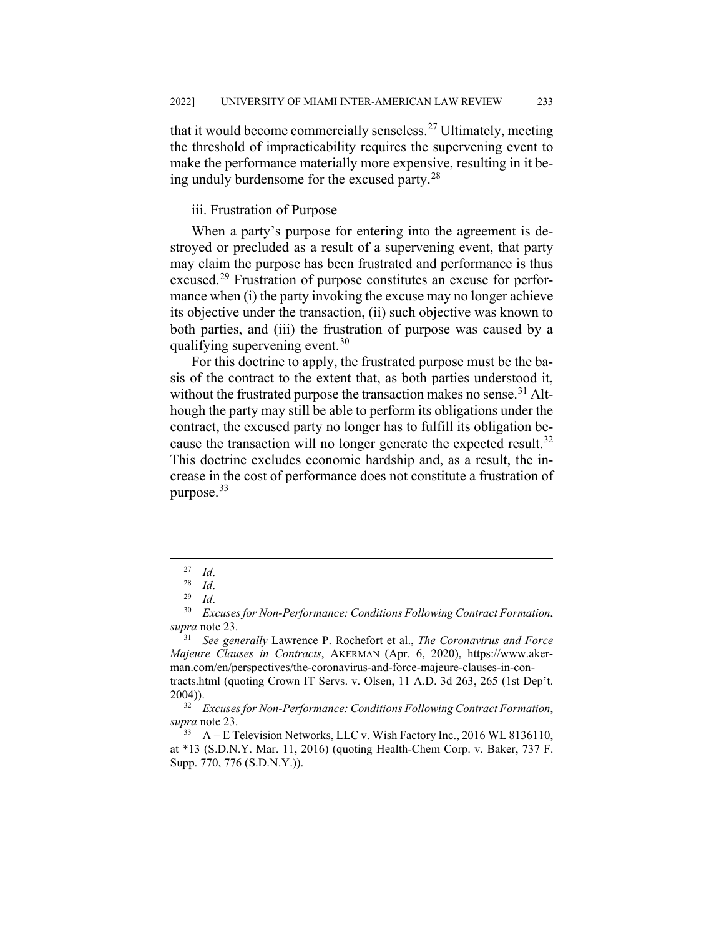that it would become commercially senseless.<sup>[27](#page-7-0)</sup> Ultimately, meeting the threshold of impracticability requires the supervening event to make the performance materially more expensive, resulting in it being unduly burdensome for the excused party.[28](#page-7-1)

#### iii. Frustration of Purpose

When a party's purpose for entering into the agreement is destroyed or precluded as a result of a supervening event, that party may claim the purpose has been frustrated and performance is thus excused.<sup>[29](#page-7-2)</sup> Frustration of purpose constitutes an excuse for performance when (i) the party invoking the excuse may no longer achieve its objective under the transaction, (ii) such objective was known to both parties, and (iii) the frustration of purpose was caused by a qualifying supervening event.<sup>[30](#page-7-3)</sup>

For this doctrine to apply, the frustrated purpose must be the basis of the contract to the extent that, as both parties understood it, without the frustrated purpose the transaction makes no sense.<sup>[31](#page-7-4)</sup> Although the party may still be able to perform its obligations under the contract, the excused party no longer has to fulfill its obligation be-cause the transaction will no longer generate the expected result.<sup>[32](#page-7-5)</sup> This doctrine excludes economic hardship and, as a result, the increase in the cost of performance does not constitute a frustration of purpose.[33](#page-7-6)

 <sup>27</sup> *Id*.

 $\frac{28}{29}$  *Id.* 

<sup>29</sup> *Id*.

<span id="page-7-3"></span><span id="page-7-2"></span><span id="page-7-1"></span><span id="page-7-0"></span><sup>30</sup> *Excuses for Non-Performance: Conditions Following Contract Formation*, *supra* note 23.

<span id="page-7-4"></span><sup>31</sup> *See generally* Lawrence P. Rochefort et al., *The Coronavirus and Force Majeure Clauses in Contracts*, AKERMAN (Apr. 6, 2020), https://www.akerman.com/en/perspectives/the-coronavirus-and-force-majeure-clauses-in-contracts.html (quoting Crown IT Servs. v. Olsen, 11 A.D. 3d 263, 265 (1st Dep't.  $2004)$ ).

<span id="page-7-5"></span><sup>32</sup> *Excuses for Non-Performance: Conditions Following Contract Formation*, *supra* note 23.

<span id="page-7-6"></span> $33$  A + E Television Networks, LLC v. Wish Factory Inc., 2016 WL 8136110, at \*13 (S.D.N.Y. Mar. 11, 2016) (quoting Health-Chem Corp. v. Baker, 737 F. Supp. 770, 776 (S.D.N.Y.)).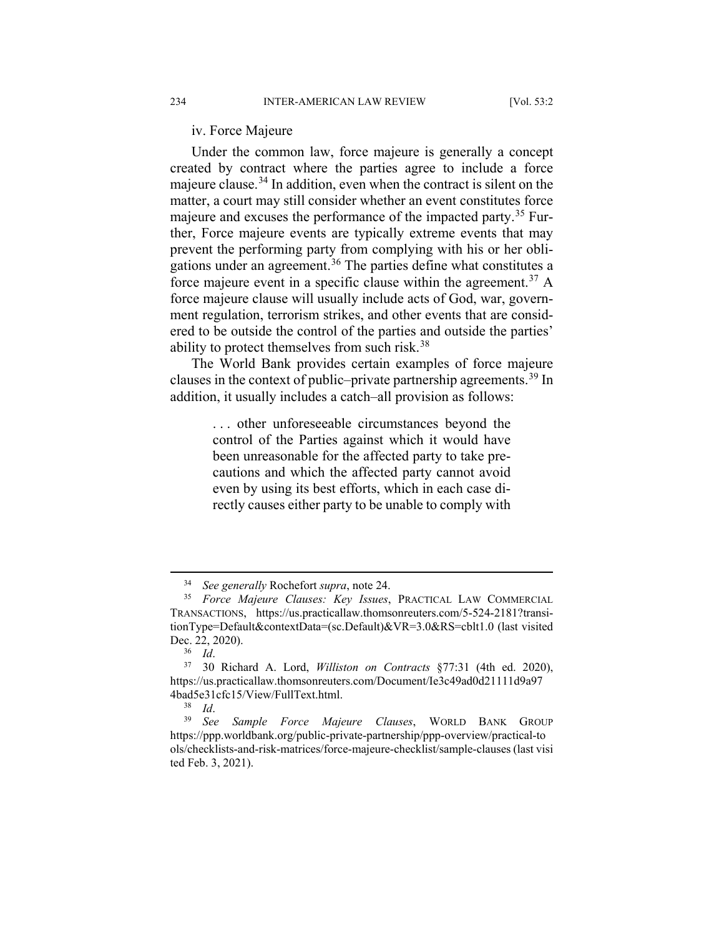iv. Force Majeure

Under the common law, force majeure is generally a concept created by contract where the parties agree to include a force majeure clause.<sup>[34](#page-8-0)</sup> In addition, even when the contract is silent on the matter, a court may still consider whether an event constitutes force majeure and excuses the performance of the impacted party.<sup>[35](#page-8-1)</sup> Further, Force majeure events are typically extreme events that may prevent the performing party from complying with his or her obli-gations under an agreement.<sup>[36](#page-8-2)</sup> The parties define what constitutes a force majeure event in a specific clause within the agreement.<sup>[37](#page-8-3)</sup> A force majeure clause will usually include acts of God, war, government regulation, terrorism strikes, and other events that are considered to be outside the control of the parties and outside the parties' ability to protect themselves from such risk.[38](#page-8-4)

The World Bank provides certain examples of force majeure clauses in the context of public–private partnership agreements.[39](#page-8-5) In addition, it usually includes a catch–all provision as follows:

> . . . other unforeseeable circumstances beyond the control of the Parties against which it would have been unreasonable for the affected party to take precautions and which the affected party cannot avoid even by using its best efforts, which in each case directly causes either party to be unable to comply with

 <sup>34</sup> *See generally* Rochefort *supra*, note 24.

<span id="page-8-1"></span><span id="page-8-0"></span><sup>35</sup> *Force Majeure Clauses: Key Issues*, PRACTICAL LAW COMMERCIAL TRANSACTIONS, https://us.practicallaw.thomsonreuters.com/5-524-2181?transitionType=Default&contextData=(sc.Default)&VR=3.0&RS=cblt1.0 (last visited Dec. 22, 2020).

<sup>36</sup> *Id*.

<span id="page-8-3"></span><span id="page-8-2"></span><sup>37</sup> 30 Richard A. Lord, *Williston on Contracts* §77:31 (4th ed. 2020), https://us.practicallaw.thomsonreuters.com/Document/Ie3c49ad0d21111d9a97 4bad5e31cfc15/View/FullText.html.<br> $^{38}$  *M* 

 $rac{38}{39}$  *Id.* 

<span id="page-8-5"></span><span id="page-8-4"></span><sup>39</sup> *See Sample Force Majeure Clauses*, WORLD BANK GROUP https://ppp.worldbank.org/public-private-partnership/ppp-overview/practical-to ols/checklists-and-risk-matrices/force-majeure-checklist/sample-clauses (last visi ted Feb. 3, 2021).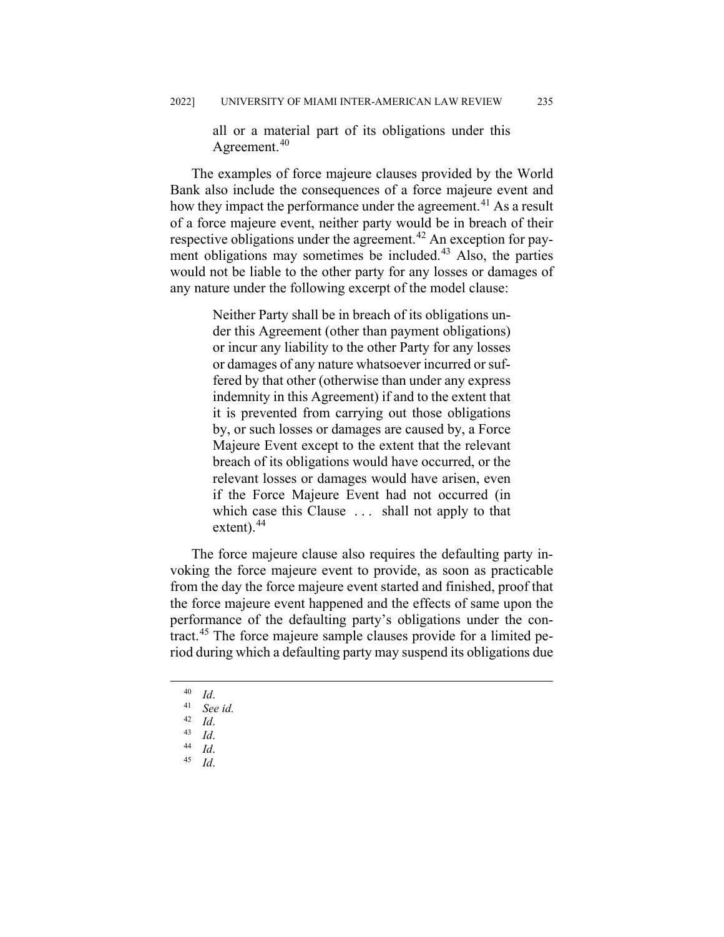all or a material part of its obligations under this Agreement.<sup>[40](#page-9-0)</sup>

The examples of force majeure clauses provided by the World Bank also include the consequences of a force majeure event and how they impact the performance under the agreement.<sup>[41](#page-9-1)</sup> As a result of a force majeure event, neither party would be in breach of their respective obligations under the agreement.<sup>[42](#page-9-2)</sup> An exception for pay-ment obligations may sometimes be included.<sup>[43](#page-9-3)</sup> Also, the parties would not be liable to the other party for any losses or damages of any nature under the following excerpt of the model clause:

> Neither Party shall be in breach of its obligations under this Agreement (other than payment obligations) or incur any liability to the other Party for any losses or damages of any nature whatsoever incurred or suffered by that other (otherwise than under any express indemnity in this Agreement) if and to the extent that it is prevented from carrying out those obligations by, or such losses or damages are caused by, a Force Majeure Event except to the extent that the relevant breach of its obligations would have occurred, or the relevant losses or damages would have arisen, even if the Force Majeure Event had not occurred (in which case this Clause ... shall not apply to that extent). $44$

The force majeure clause also requires the defaulting party invoking the force majeure event to provide, as soon as practicable from the day the force majeure event started and finished, proof that the force majeure event happened and the effects of same upon the performance of the defaulting party's obligations under the contract.[45](#page-9-5) The force majeure sample clauses provide for a limited period during which a defaulting party may suspend its obligations due

- <span id="page-9-5"></span> $\begin{array}{cc} 44 & Id. \\ 45 & I. \end{array}$
- <sup>45</sup> *Id*.

 $\frac{40}{41}$  *Id.* 

 $^{41}$  *See id.*<br> $^{42}$  *L* 

<span id="page-9-3"></span><span id="page-9-2"></span><span id="page-9-1"></span><span id="page-9-0"></span> $\frac{42}{43}$  *Id.* 

<span id="page-9-4"></span> $\begin{array}{cc} 43 & Id. \\ 44 & Id. \end{array}$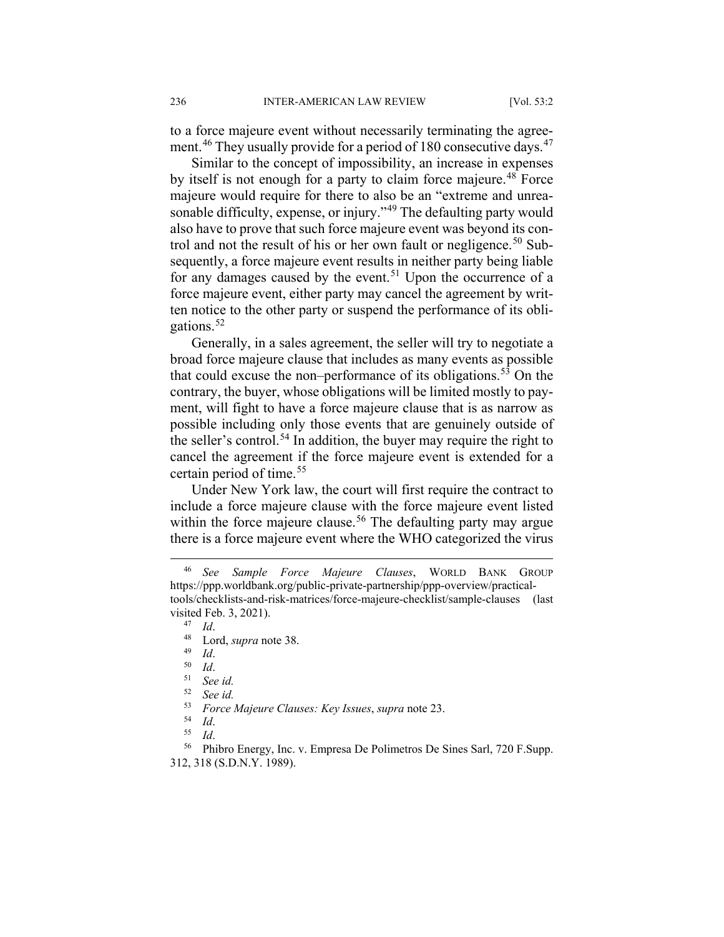to a force majeure event without necessarily terminating the agree-ment.<sup>[46](#page-10-0)</sup> They usually provide for a period of 180 consecutive days.<sup>[47](#page-10-1)</sup>

Similar to the concept of impossibility, an increase in expenses by itself is not enough for a party to claim force majeure.<sup>[48](#page-10-2)</sup> Force majeure would require for there to also be an "extreme and unrea-sonable difficulty, expense, or injury."<sup>[49](#page-10-3)</sup> The defaulting party would also have to prove that such force majeure event was beyond its con-trol and not the result of his or her own fault or negligence.<sup>[50](#page-10-4)</sup> Subsequently, a force majeure event results in neither party being liable for any damages caused by the event.<sup>[51](#page-10-5)</sup> Upon the occurrence of a force majeure event, either party may cancel the agreement by written notice to the other party or suspend the performance of its obligations.[52](#page-10-6)

Generally, in a sales agreement, the seller will try to negotiate a broad force majeure clause that includes as many events as possible that could excuse the non–performance of its obligations.<sup>[53](#page-10-7)</sup> On the contrary, the buyer, whose obligations will be limited mostly to payment, will fight to have a force majeure clause that is as narrow as possible including only those events that are genuinely outside of the seller's control.<sup>[54](#page-10-8)</sup> In addition, the buyer may require the right to cancel the agreement if the force majeure event is extended for a certain period of time.<sup>[55](#page-10-9)</sup>

Under New York law, the court will first require the contract to include a force majeure clause with the force majeure event listed within the force majeure clause.<sup>[56](#page-10-10)</sup> The defaulting party may argue there is a force majeure event where the WHO categorized the virus

 $\frac{47}{48}$  *Id.* 

<span id="page-10-3"></span> $\frac{49}{50}$  *Id.* 

<sup>53</sup> *Force Majeure Clauses: Key Issues*, *supra* note 23.

<span id="page-10-2"></span><span id="page-10-1"></span><span id="page-10-0"></span> <sup>46</sup> *See Sample Force Majeure Clauses*, WORLD BANK GROUP https://ppp.worldbank.org/public-private-partnership/ppp-overview/practicaltools/checklists-and-risk-matrices/force-majeure-checklist/sample-clauses (last visited Feb. 3, 2021).

 $^{48}$  Lord, *supra* note 38.

<span id="page-10-4"></span> $rac{50}{51}$  *Id.* See *id.* 

<sup>52</sup> *See id.*

<sup>54</sup> *Id*.

<sup>55</sup> *Id*.

<span id="page-10-10"></span><span id="page-10-9"></span><span id="page-10-8"></span><span id="page-10-7"></span><span id="page-10-6"></span><span id="page-10-5"></span><sup>56</sup> Phibro Energy, Inc. v. Empresa De Polimetros De Sines Sarl, 720 F.Supp. 312, 318 (S.D.N.Y. 1989).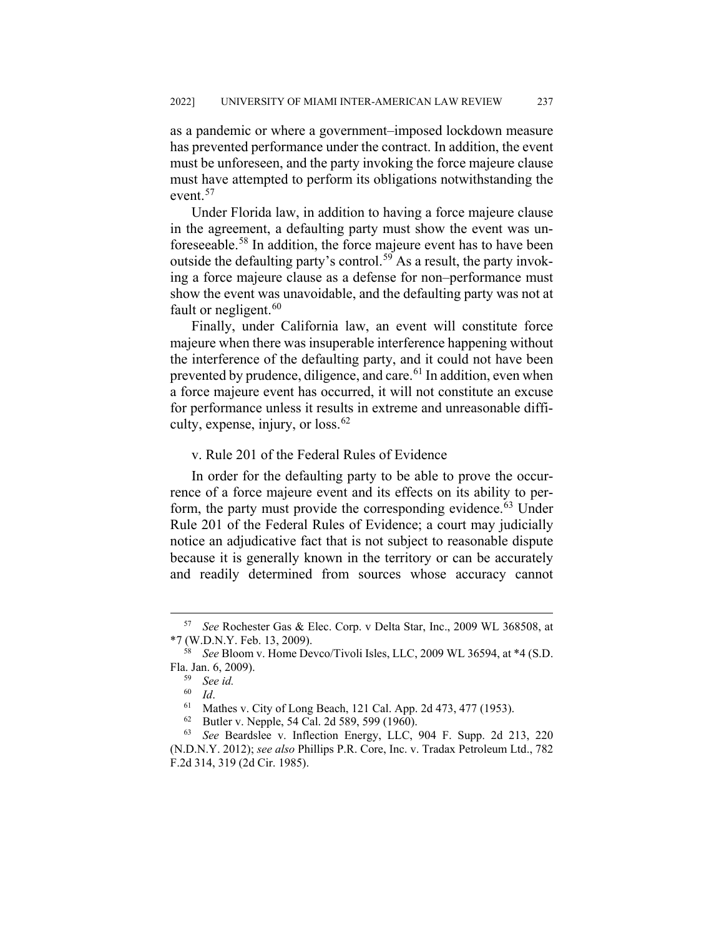as a pandemic or where a government–imposed lockdown measure has prevented performance under the contract. In addition, the event must be unforeseen, and the party invoking the force majeure clause must have attempted to perform its obligations notwithstanding the event.<sup>[57](#page-11-0)</sup>

Under Florida law, in addition to having a force majeure clause in the agreement, a defaulting party must show the event was un-foreseeable.<sup>[58](#page-11-1)</sup> In addition, the force majeure event has to have been outside the defaulting party's control.<sup>[59](#page-11-2)</sup> As a result, the party invoking a force majeure clause as a defense for non–performance must show the event was unavoidable, and the defaulting party was not at fault or negligent. $60$ 

Finally, under California law, an event will constitute force majeure when there was insuperable interference happening without the interference of the defaulting party, and it could not have been prevented by prudence, diligence, and care.<sup>[61](#page-11-4)</sup> In addition, even when a force majeure event has occurred, it will not constitute an excuse for performance unless it results in extreme and unreasonable diffi-culty, expense, injury, or loss.<sup>[62](#page-11-5)</sup>

## v. Rule 201 of the Federal Rules of Evidence

In order for the defaulting party to be able to prove the occurrence of a force majeure event and its effects on its ability to per-form, the party must provide the corresponding evidence.<sup>[63](#page-11-6)</sup> Under Rule 201 of the Federal Rules of Evidence; a court may judicially notice an adjudicative fact that is not subject to reasonable dispute because it is generally known in the territory or can be accurately and readily determined from sources whose accuracy cannot

<span id="page-11-0"></span> <sup>57</sup> *See* Rochester Gas & Elec. Corp. v Delta Star, Inc., 2009 WL 368508, at \*7 (W.D.N.Y. Feb. 13, 2009).

<span id="page-11-2"></span><span id="page-11-1"></span><sup>58</sup> *See* Bloom v. Home Devco/Tivoli Isles, LLC, 2009 WL 36594, at \*4 (S.D. Fla. Jan. 6, 2009).

<sup>59</sup> *See id.*

 $\begin{array}{cc} 60 & Id. \\ 61 & Mg. \end{array}$ 

<sup>&</sup>lt;sup>61</sup> Mathes v. City of Long Beach, 121 Cal. App. 2d 473, 477 (1953).<br><sup>62</sup> Putlar v. Napple, 54 Cal. 2d 580, 500 (1060).

Butler v. Nepple, 54 Cal. 2d 589, 599 (1960).

<span id="page-11-6"></span><span id="page-11-5"></span><span id="page-11-4"></span><span id="page-11-3"></span><sup>63</sup> *See* Beardslee v. Inflection Energy, LLC, 904 F. Supp. 2d 213, 220 (N.D.N.Y. 2012); *see also* Phillips P.R. Core, Inc. v. Tradax Petroleum Ltd., 782 F.2d 314, 319 (2d Cir. 1985).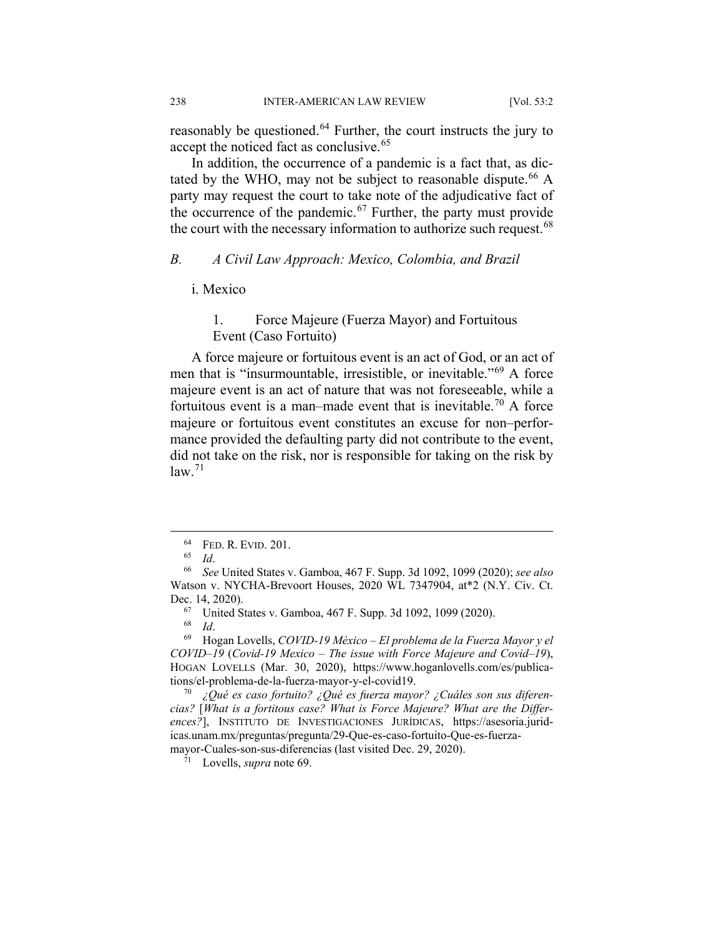reasonably be questioned.<sup>[64](#page-12-0)</sup> Further, the court instructs the jury to accept the noticed fact as conclusive.<sup>[65](#page-12-1)</sup>

In addition, the occurrence of a pandemic is a fact that, as dic-tated by the WHO, may not be subject to reasonable dispute.<sup>[66](#page-12-2)</sup> A party may request the court to take note of the adjudicative fact of the occurrence of the pandemic.<sup>[67](#page-12-3)</sup> Further, the party must provide the court with the necessary information to authorize such request.<sup>[68](#page-12-4)</sup>

#### *B. A Civil Law Approach: Mexico, Colombia, and Brazil*

## i. Mexico

## 1. Force Majeure (Fuerza Mayor) and Fortuitous Event (Caso Fortuito)

A force majeure or fortuitous event is an act of God, or an act of men that is "insurmountable, irresistible, or inevitable."[69](#page-12-5) A force majeure event is an act of nature that was not foreseeable, while a fortuitous event is a man–made event that is inevitable.<sup>[70](#page-12-6)</sup> A force majeure or fortuitous event constitutes an excuse for non–performance provided the defaulting party did not contribute to the event, did not take on the risk, nor is responsible for taking on the risk by  $law.<sup>71</sup>$  $law.<sup>71</sup>$  $law.<sup>71</sup>$ 

<sup>71</sup> Lovells, *supra* note 69.

 $^{64}$  FED. R. EVID. 201.

<sup>65</sup> *Id*.

<span id="page-12-2"></span><span id="page-12-1"></span><span id="page-12-0"></span><sup>66</sup> *See* United States v. Gamboa, 467 F. Supp. 3d 1092, 1099 (2020); *see also* Watson v. NYCHA-Brevoort Houses, 2020 WL 7347904, at\*2 (N.Y. Civ. Ct. Dec. 14, 2020).

<sup>&</sup>lt;sup>67</sup> United States v. Gamboa, 467 F. Supp. 3d 1092, 1099 (2020).

 $\frac{68}{69}$  *Id*.

<span id="page-12-5"></span><span id="page-12-4"></span><span id="page-12-3"></span><sup>69</sup> Hogan Lovells, *COVID-19 México – El problema de la Fuerza Mayor y el COVID–19* (*Covid-19 Mexico – The issue with Force Majeure and Covid–19*), HOGAN LOVELLS (Mar. 30, 2020), https://www.hoganlovells.com/es/publications/el-problema-de-la-fuerza-mayor-y-el-covid19.

<span id="page-12-7"></span><span id="page-12-6"></span><sup>70</sup> *¿Qué es caso fortuito? ¿Qué es fuerza mayor? ¿Cuáles son sus diferencias?* [*What is a fortitous case? What is Force Majeure? What are the Differences?*], INSTITUTO DE INVESTIGACIONES JURÍDICAS, https://asesoria.juridicas.unam.mx/preguntas/pregunta/29-Que-es-caso-fortuito-Que-es-fuerzamayor-Cuales-son-sus-diferencias (last visited Dec. 29, 2020).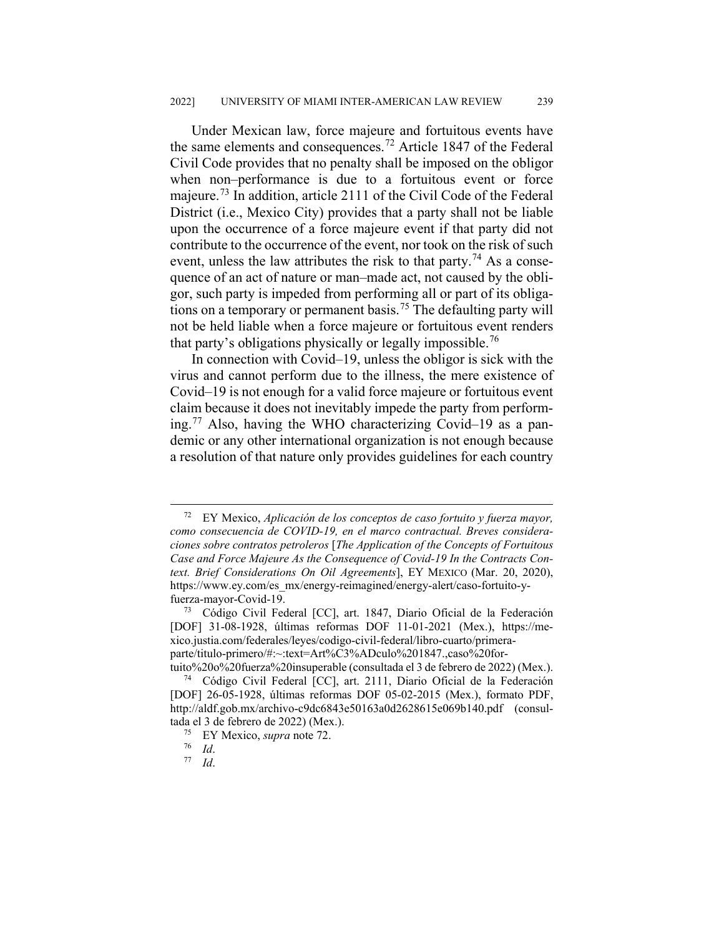Under Mexican law, force majeure and fortuitous events have the same elements and consequences.<sup>[72](#page-13-0)</sup> Article 1847 of the Federal Civil Code provides that no penalty shall be imposed on the obligor when non–performance is due to a fortuitous event or force majeure.<sup>[73](#page-13-1)</sup> In addition, article 2111 of the Civil Code of the Federal District (i.e., Mexico City) provides that a party shall not be liable upon the occurrence of a force majeure event if that party did not contribute to the occurrence of the event, nor took on the risk of such event, unless the law attributes the risk to that party.<sup>[74](#page-13-2)</sup> As a consequence of an act of nature or man–made act, not caused by the obligor, such party is impeded from performing all or part of its obliga-tions on a temporary or permanent basis.<sup>[75](#page-13-3)</sup> The defaulting party will not be held liable when a force majeure or fortuitous event renders that party's obligations physically or legally impossible.<sup>[76](#page-13-4)</sup>

In connection with Covid–19, unless the obligor is sick with the virus and cannot perform due to the illness, the mere existence of Covid–19 is not enough for a valid force majeure or fortuitous event claim because it does not inevitably impede the party from perform-ing.<sup>[77](#page-13-5)</sup> Also, having the WHO characterizing Covid–19 as a pandemic or any other international organization is not enough because a resolution of that nature only provides guidelines for each country

<span id="page-13-0"></span> <sup>72</sup> EY Mexico, *Aplicación de los conceptos de caso fortuito y fuerza mayor, como consecuencia de COVID-19, en el marco contractual. Breves consideraciones sobre contratos petroleros* [*The Application of the Concepts of Fortuitous Case and Force Majeure As the Consequence of Covid-19 In the Contracts Context. Brief Considerations On Oil Agreements*], EY MEXICO (Mar. 20, 2020), https://www.ey.com/es\_mx/energy-reimagined/energy-alert/caso-fortuito-yfuerza-mayor-Covid-19.

<span id="page-13-1"></span><sup>73</sup> Código Civil Federal [CC], art. 1847, Diario Oficial de la Federación [DOF] 31-08-1928, últimas reformas DOF 11-01-2021 (Mex.), https://mexico.justia.com/federales/leyes/codigo-civil-federal/libro-cuarto/primeraparte/titulo-primero/#:~:text=Art%C3%ADculo%201847.,caso%20for-

<span id="page-13-3"></span><span id="page-13-2"></span>tuito%20o%20fuerza%20insuperable (consultada el 3 de febrero de 2022) (Mex.). <sup>74</sup> Código Civil Federal [CC], art. 2111, Diario Oficial de la Federación [DOF] 26-05-1928, últimas reformas DOF 05-02-2015 (Mex.), formato PDF, http://aldf.gob.mx/archivo-c9dc6843e50163a0d2628615e069b140.pdf (consultada el 3 de febrero de 2022) (Mex.).

<span id="page-13-4"></span><sup>75</sup> EY Mexico, *supra* note 72.

<span id="page-13-5"></span> $rac{76}{77}$  *Id.* 

*Id.*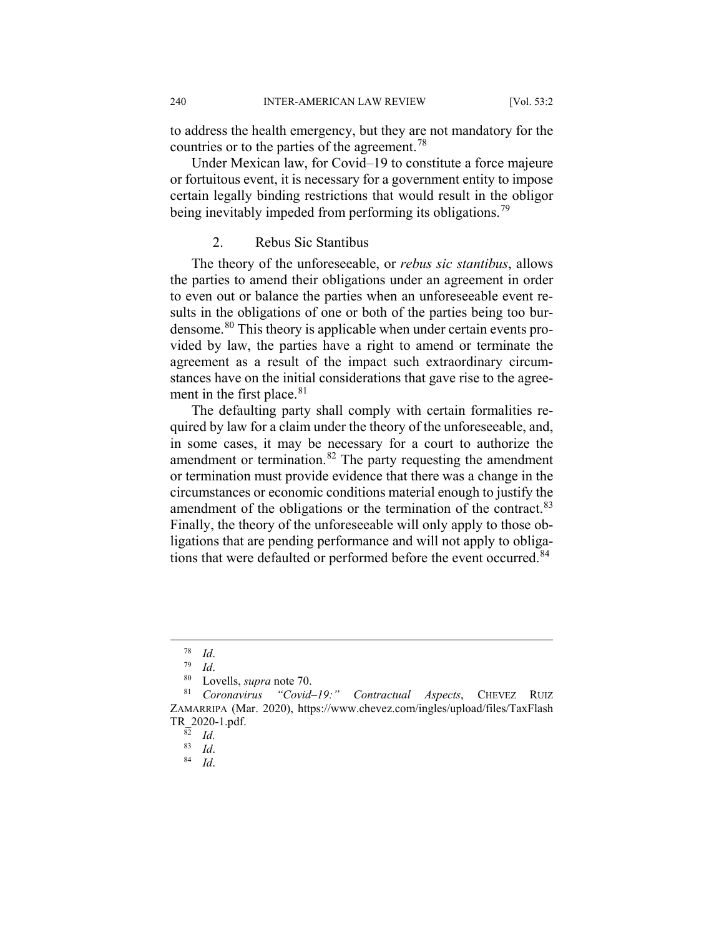to address the health emergency, but they are not mandatory for the countries or to the parties of the agreement.<sup>[78](#page-14-0)</sup>

Under Mexican law, for Covid–19 to constitute a force majeure or fortuitous event, it is necessary for a government entity to impose certain legally binding restrictions that would result in the obligor being inevitably impeded from performing its obligations.<sup>[79](#page-14-1)</sup>

## 2. Rebus Sic Stantibus

The theory of the unforeseeable, or *rebus sic stantibus*, allows the parties to amend their obligations under an agreement in order to even out or balance the parties when an unforeseeable event results in the obligations of one or both of the parties being too burdensome.[80](#page-14-2) This theory is applicable when under certain events provided by law, the parties have a right to amend or terminate the agreement as a result of the impact such extraordinary circumstances have on the initial considerations that gave rise to the agree-ment in the first place.<sup>[81](#page-14-3)</sup>

The defaulting party shall comply with certain formalities required by law for a claim under the theory of the unforeseeable, and, in some cases, it may be necessary for a court to authorize the amendment or termination.<sup>[82](#page-14-4)</sup> The party requesting the amendment or termination must provide evidence that there was a change in the circumstances or economic conditions material enough to justify the amendment of the obligations or the termination of the contract.<sup>[83](#page-14-5)</sup> Finally, the theory of the unforeseeable will only apply to those obligations that are pending performance and will not apply to obliga-tions that were defaulted or performed before the event occurred.<sup>[84](#page-14-6)</sup>

 $\frac{78}{79}$  *Id.* 

 $\frac{79}{80}$  *Id.* 

Lovells, *supra* note 70.

<span id="page-14-6"></span><span id="page-14-5"></span><span id="page-14-4"></span><span id="page-14-3"></span><span id="page-14-2"></span><span id="page-14-1"></span><span id="page-14-0"></span><sup>81</sup> *Coronavirus "Covid–19:" Contractual Aspects*, CHEVEZ RUIZ ZAMARRIPA (Mar. 2020), https://www.chevez.com/ingles/upload/files/TaxFlash TR\_2020-1.pdf.

 $rac{\overline{82}}{83}$  *Id.* 

 $\begin{array}{cc} 83 & Id. \\ 84 & I. \end{array}$ <sup>84</sup> *Id*.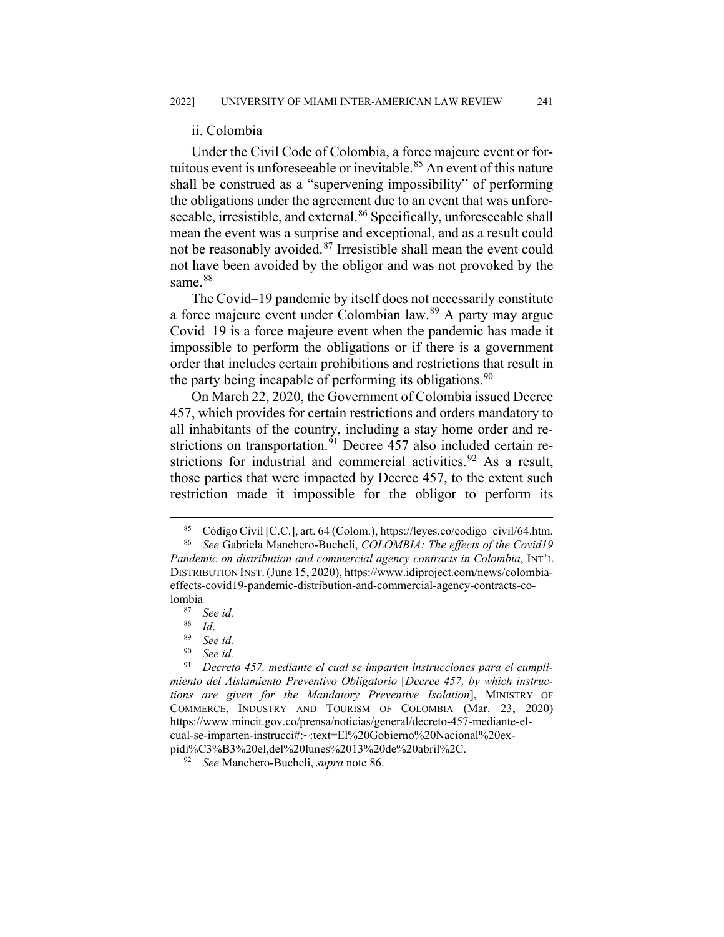#### ii. Colombia

Under the Civil Code of Colombia, a force majeure event or for-tuitous event is unforeseeable or inevitable.<sup>[85](#page-15-0)</sup> An event of this nature shall be construed as a "supervening impossibility" of performing the obligations under the agreement due to an event that was unfore-seeable, irresistible, and external.<sup>[86](#page-15-1)</sup> Specifically, unforeseeable shall mean the event was a surprise and exceptional, and as a result could not be reasonably avoided.<sup>[87](#page-15-2)</sup> Irresistible shall mean the event could not have been avoided by the obligor and was not provoked by the same.<sup>[88](#page-15-3)</sup>

The Covid–19 pandemic by itself does not necessarily constitute a force majeure event under Colombian law.[89](#page-15-4) A party may argue Covid–19 is a force majeure event when the pandemic has made it impossible to perform the obligations or if there is a government order that includes certain prohibitions and restrictions that result in the party being incapable of performing its obligations.  $90$ 

On March 22, 2020, the Government of Colombia issued Decree 457, which provides for certain restrictions and orders mandatory to all inhabitants of the country, including a stay home order and re-strictions on transportation.<sup>[91](#page-15-6)</sup> Decree 457 also included certain re-strictions for industrial and commercial activities.<sup>[92](#page-15-7)</sup> As a result, those parties that were impacted by Decree 457, to the extent such restriction made it impossible for the obligor to perform its

<sup>&</sup>lt;sup>85</sup> Código Civil [C.C.], art. 64 (Colom.), https://leyes.co/codigo\_civil/64.htm.<br><sup>86</sup> See Gabriela Manchero-Bucheli, COLOMRIA: The effects of the Covid19

<span id="page-15-1"></span><span id="page-15-0"></span>See Gabriela Manchero-Bucheli, *COLOMBIA: The effects of the Covid19 Pandemic on distribution and commercial agency contracts in Colombia*, INT'L DISTRIBUTION INST.(June 15, 2020), https://www.idiproject.com/news/colombiaeffects-covid19-pandemic-distribution-and-commercial-agency-contracts-co $lombia<sub>87</sub>$ 

<sup>87</sup> *See id.*

 $rac{88}{89}$  *Id.* 

See *id.* 

<sup>&</sup>lt;sup>90</sup> *See id.*<br><sup>91</sup> *Decret* 

<span id="page-15-6"></span><span id="page-15-5"></span><span id="page-15-4"></span><span id="page-15-3"></span><span id="page-15-2"></span><sup>91</sup> *Decreto 457, mediante el cual se imparten instrucciones para el cumplimiento del Aislamiento Preventivo Obligatorio* [*Decree 457, by which instructions are given for the Mandatory Preventive Isolation*], MINISTRY OF COMMERCE, INDUSTRY AND TOURISM OF COLOMBIA (Mar. 23, 2020) https://www.mincit.gov.co/prensa/noticias/general/decreto-457-mediante-elcual-se-imparten-instrucci#:~:text=El%20Gobierno%20Nacional%20expidi%C3%B3%20el,del%20lunes%2013%20de%20abril%2C.

<span id="page-15-7"></span><sup>92</sup> *See* Manchero-Bucheli, *supra* note 86.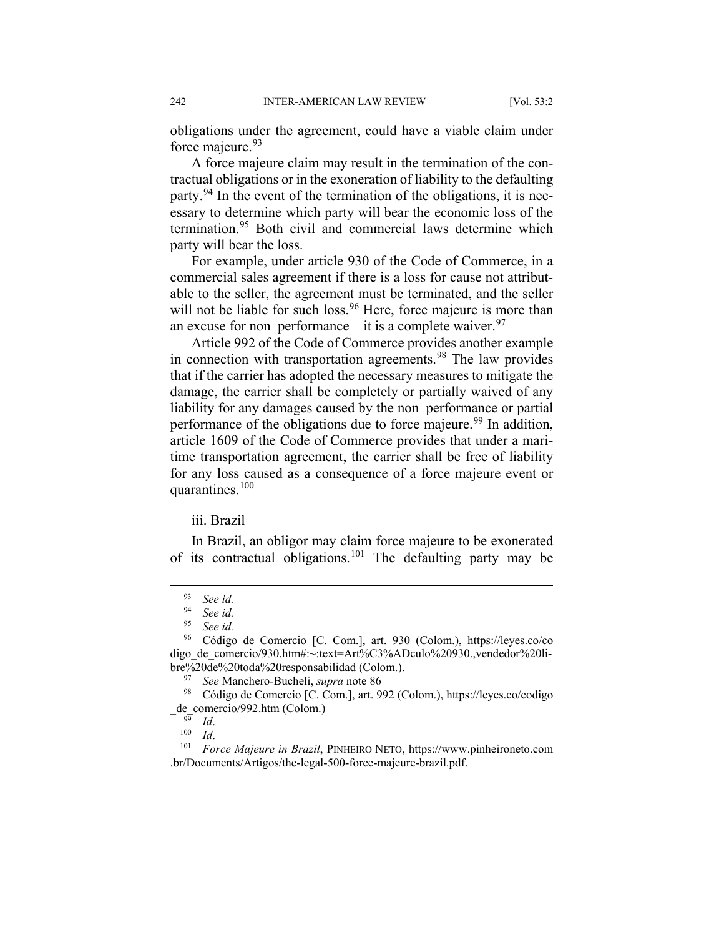obligations under the agreement, could have a viable claim under force majeure.<sup>[93](#page-16-0)</sup>

A force majeure claim may result in the termination of the contractual obligations or in the exoneration of liability to the defaulting party.<sup>[94](#page-16-1)</sup> In the event of the termination of the obligations, it is necessary to determine which party will bear the economic loss of the termination.<sup>[95](#page-16-2)</sup> Both civil and commercial laws determine which party will bear the loss.

For example, under article 930 of the Code of Commerce, in a commercial sales agreement if there is a loss for cause not attributable to the seller, the agreement must be terminated, and the seller will not be liable for such loss.<sup>[96](#page-16-3)</sup> Here, force majeure is more than an excuse for non–performance—it is a complete waiver.  $97$ 

Article 992 of the Code of Commerce provides another example in connection with transportation agreements.<sup>[98](#page-16-5)</sup> The law provides that if the carrier has adopted the necessary measures to mitigate the damage, the carrier shall be completely or partially waived of any liability for any damages caused by the non–performance or partial performance of the obligations due to force majeure.<sup>[99](#page-16-6)</sup> In addition, article 1609 of the Code of Commerce provides that under a maritime transportation agreement, the carrier shall be free of liability for any loss caused as a consequence of a force majeure event or quarantines. $100$ 

## iii. Brazil

In Brazil, an obligor may claim force majeure to be exonerated of its contractual obligations.<sup>[101](#page-16-8)</sup> The defaulting party may be

 <sup>93</sup> *See id.*

<sup>94</sup> *See id.*

<sup>95</sup> *See id.*

<span id="page-16-3"></span><span id="page-16-2"></span><span id="page-16-1"></span><span id="page-16-0"></span><sup>96</sup> Código de Comercio [C. Com.], art. 930 (Colom.), https://leyes.co/co digo de comercio/930.htm#:~:text=Art%C3%ADculo%20930.,vendedor%20libre%20de%20toda%20responsabilidad (Colom.).

<sup>97</sup> *See* Manchero-Bucheli, *supra* note 86

<span id="page-16-5"></span><span id="page-16-4"></span><sup>98</sup> Código de Comercio [C. Com.], art. 992 (Colom.), https://leyes.co/codigo \_de\_comercio/992.htm (Colom.)

 $\frac{99}{100}$  *Id.* 

 $\frac{100}{101}$  *Id.* 

<span id="page-16-8"></span><span id="page-16-7"></span><span id="page-16-6"></span><sup>101</sup> *Force Majeure in Brazil*, PINHEIRO NETO, [https://www.pinheironeto.com](https://www.pinheironeto.com.br/Documents/Artigos/the-legal-500-force-majeure-brazil.pdf) [.br/Documents/Artigos/the-legal-500-force-majeure-brazil.pdf.](https://www.pinheironeto.com.br/Documents/Artigos/the-legal-500-force-majeure-brazil.pdf)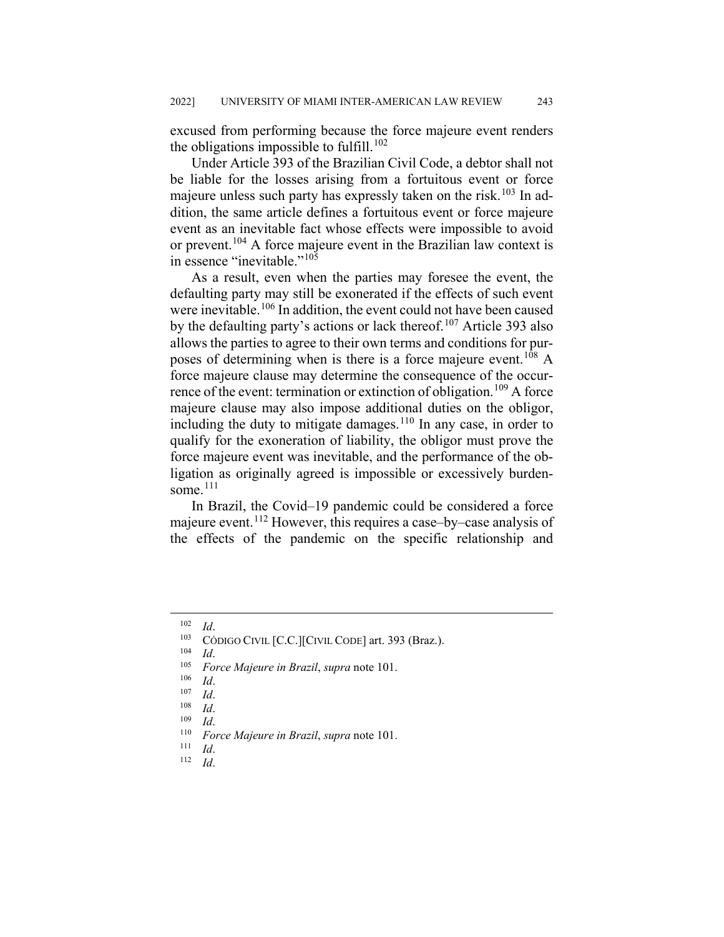excused from performing because the force majeure event renders the obligations impossible to fulfill.<sup>[102](#page-17-0)</sup>

Under Article 393 of the Brazilian Civil Code, a debtor shall not be liable for the losses arising from a fortuitous event or force majeure unless such party has expressly taken on the risk.<sup>[103](#page-17-1)</sup> In addition, the same article defines a fortuitous event or force majeure event as an inevitable fact whose effects were impossible to avoid or prevent.<sup>[104](#page-17-2)</sup> A force majeure event in the Brazilian law context is in essence "inevitable."<sup>[105](#page-17-3)</sup>

As a result, even when the parties may foresee the event, the defaulting party may still be exonerated if the effects of such event were inevitable.<sup>[106](#page-17-4)</sup> In addition, the event could not have been caused by the defaulting party's actions or lack thereof.<sup>[107](#page-17-5)</sup> Article 393 also allows the parties to agree to their own terms and conditions for pur-poses of determining when is there is a force majeure event.<sup>[108](#page-17-6)</sup> A force majeure clause may determine the consequence of the occur-rence of the event: termination or extinction of obligation.<sup>[109](#page-17-7)</sup> A force majeure clause may also impose additional duties on the obligor, including the duty to mitigate damages.<sup>[110](#page-17-8)</sup> In any case, in order to qualify for the exoneration of liability, the obligor must prove the force majeure event was inevitable, and the performance of the obligation as originally agreed is impossible or excessively burdensome. $111$ 

In Brazil, the Covid–19 pandemic could be considered a force majeure event.<sup>[112](#page-17-10)</sup> However, this requires a case–by–case analysis of the effects of the pandemic on the specific relationship and

<span id="page-17-1"></span><span id="page-17-0"></span> $\frac{102}{103}$  *Id.* 

CÓDIGO CIVIL [C.C.][CIVIL CODE] art. 393 (Braz.).

<span id="page-17-2"></span> $\frac{104}{105}$  *Id.* 

<span id="page-17-4"></span><span id="page-17-3"></span><sup>105</sup> *Force Majeure in Brazil*, *supra* note 101.

*Id.* 

<span id="page-17-5"></span> $\frac{107}{108}$  *Id.* 

<span id="page-17-7"></span><span id="page-17-6"></span> $\frac{108}{109}$  *Id. Id.* 

<span id="page-17-8"></span><sup>110</sup> *Force Majeure in Brazil*, *supra* note 101.

<span id="page-17-10"></span><span id="page-17-9"></span> $\frac{111}{112}$  *Id.* 

<sup>112</sup> *Id*.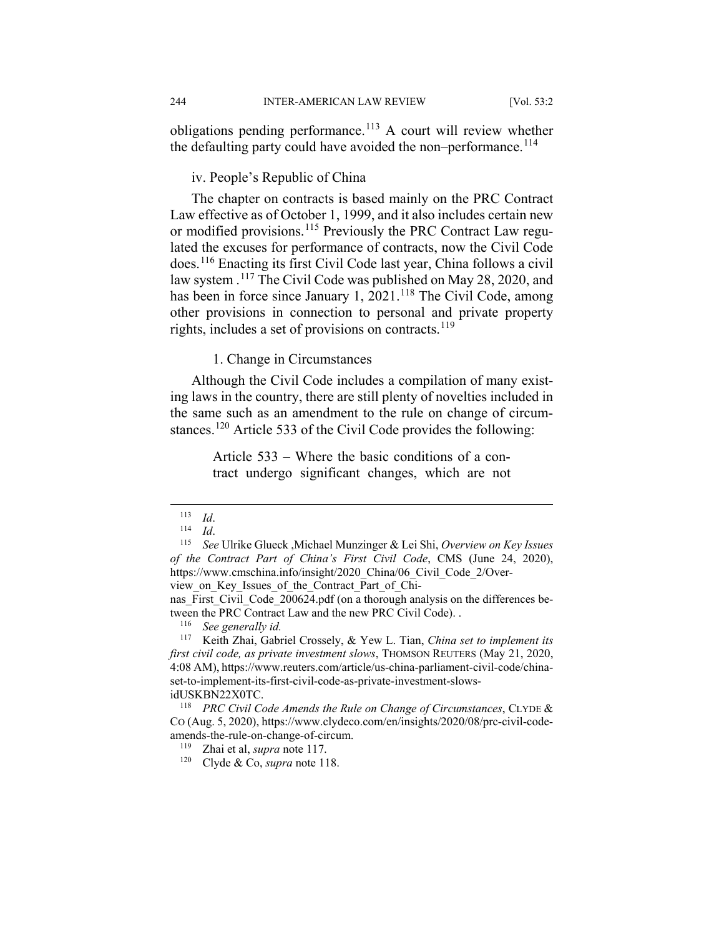obligations pending performance.<sup>[113](#page-18-0)</sup> A court will review whether the defaulting party could have avoided the non–performance.<sup>[114](#page-18-1)</sup>

#### iv. People's Republic of China

The chapter on contracts is based mainly on the PRC Contract Law effective as of October 1, 1999, and it also includes certain new or modified provisions.<sup>[115](#page-18-2)</sup> Previously the PRC Contract Law regulated the excuses for performance of contracts, now the Civil Code does.[116](#page-18-3) Enacting its first Civil Code last year, China follows a civil law system .<sup>[117](#page-18-4)</sup> The Civil Code was published on May 28, 2020, and has been in force since January 1, 2021.<sup>[118](#page-18-5)</sup> The Civil Code, among other provisions in connection to personal and private property rights, includes a set of provisions on contracts.<sup>[119](#page-18-6)</sup>

#### 1. Change in Circumstances

Although the Civil Code includes a compilation of many existing laws in the country, there are still plenty of novelties included in the same such as an amendment to the rule on change of circum-stances.<sup>[120](#page-18-7)</sup> Article 533 of the Civil Code provides the following:

> Article 533 – Where the basic conditions of a contract undergo significant changes, which are not

view\_on\_Key\_Issues\_of\_the\_Contract\_Part\_of\_Chi-

 <sup>113</sup> *Id*.

 $\frac{114}{115}$  *Id.* 

<span id="page-18-2"></span><span id="page-18-1"></span><span id="page-18-0"></span><sup>115</sup> *See* Ulrike Glueck ,Michael Munzinger & Lei Shi, *Overview on Key Issues of the Contract Part of China's First Civil Code*, CMS (June 24, 2020), https://www.cmschina.info/insight/2020\_China/06\_Civil\_Code\_2/Over-

nas First Civil Code 200624.pdf (on a thorough analysis on the differences between the PRC Contract Law and the new PRC Civil Code). .<br> $^{116}$  See generally id

<sup>116</sup> *See generally id.*

<span id="page-18-4"></span><span id="page-18-3"></span><sup>117</sup> Keith Zhai, Gabriel Crossely, & Yew L. Tian, *China set to implement its first civil code, as private investment slows*, THOMSON REUTERS (May 21, 2020, 4:08 AM), https://www.reuters.com/article/us-china-parliament-civil-code/chinaset-to-implement-its-first-civil-code-as-private-investment-slowsidUSKBN22X0TC.

<span id="page-18-7"></span><span id="page-18-6"></span><span id="page-18-5"></span><sup>118</sup> *PRC Civil Code Amends the Rule on Change of Circumstances*, CLYDE & CO (Aug. 5, 2020)[, https://www.clydeco.com/en/insights/2020/08/prc-civil-code](https://www.clydeco.com/en/insights/2020/08/prc-civil-code-amends-the-rule-on-change-of-circum)[amends-the-rule-on-change-of-circum.](https://www.clydeco.com/en/insights/2020/08/prc-civil-code-amends-the-rule-on-change-of-circum)

<sup>119</sup> Zhai et al, *supra* note 117.

<sup>120</sup> Clyde & Co, *supra* note 118.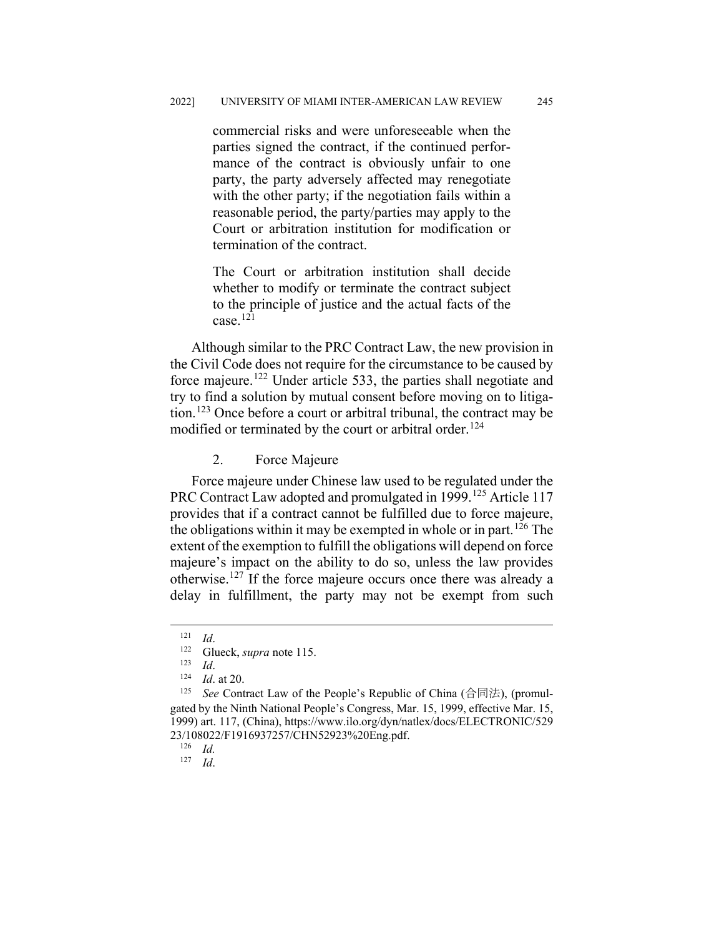commercial risks and were unforeseeable when the parties signed the contract, if the continued performance of the contract is obviously unfair to one party, the party adversely affected may renegotiate with the other party; if the negotiation fails within a reasonable period, the party/parties may apply to the Court or arbitration institution for modification or termination of the contract.

The Court or arbitration institution shall decide whether to modify or terminate the contract subject to the principle of justice and the actual facts of the case.[121](#page-19-0)

Although similar to the PRC Contract Law, the new provision in the Civil Code does not require for the circumstance to be caused by force majeure.[122](#page-19-1) Under article 533, the parties shall negotiate and try to find a solution by mutual consent before moving on to litigation.[123](#page-19-2) Once before a court or arbitral tribunal, the contract may be modified or terminated by the court or arbitral order.<sup>[124](#page-19-3)</sup>

## 2. Force Majeure

Force majeure under Chinese law used to be regulated under the PRC Contract Law adopted and promulgated in 1999.<sup>[125](#page-19-4)</sup> Article 117 provides that if a contract cannot be fulfilled due to force majeure, the obligations within it may be exempted in whole or in part.<sup>[126](#page-19-5)</sup> The extent of the exemption to fulfill the obligations will depend on force majeure's impact on the ability to do so, unless the law provides otherwise.[127](#page-19-6) If the force majeure occurs once there was already a delay in fulfillment, the party may not be exempt from such

 $\frac{121}{122}$  *Id.* 

<sup>&</sup>lt;sup>122</sup> Glueck, *supra* note 115.

 $\frac{123}{124}$  *Id.* 

*Id.* at 20.

<span id="page-19-5"></span><span id="page-19-4"></span><span id="page-19-3"></span><span id="page-19-2"></span><span id="page-19-1"></span><span id="page-19-0"></span><sup>&</sup>lt;sup>125</sup> *See* Contract Law of the People's Republic of China (合同法), (promulgated by the Ninth National People's Congress, Mar. 15, 1999, effective Mar. 15, 1999) art. 117, (China), https://www.ilo.org/dyn/natlex/docs/ELECTRONIC/529 23/108022/F1916937257/CHN52923%20Eng.pdf.

<sup>126</sup> *Id.*

<span id="page-19-6"></span><sup>127</sup> *Id*.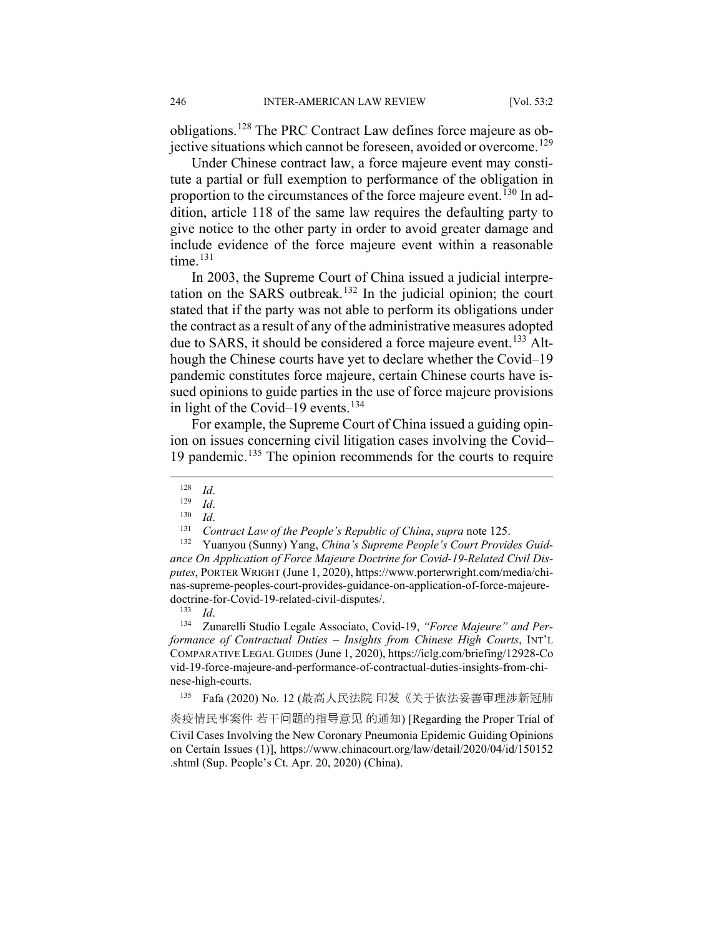obligations.[128](#page-20-0) The PRC Contract Law defines force majeure as ob-jective situations which cannot be foreseen, avoided or overcome.<sup>[129](#page-20-1)</sup>

Under Chinese contract law, a force majeure event may constitute a partial or full exemption to performance of the obligation in proportion to the circumstances of the force majeure event.<sup>[130](#page-20-2)</sup> In addition, article 118 of the same law requires the defaulting party to give notice to the other party in order to avoid greater damage and include evidence of the force majeure event within a reasonable time.<sup>[131](#page-20-3)</sup>

In 2003, the Supreme Court of China issued a judicial interpre-tation on the SARS outbreak.<sup>[132](#page-20-4)</sup> In the judicial opinion; the court stated that if the party was not able to perform its obligations under the contract as a result of any of the administrative measures adopted due to SARS, it should be considered a force majeure event.<sup>[133](#page-20-5)</sup> Although the Chinese courts have yet to declare whether the Covid–19 pandemic constitutes force majeure, certain Chinese courts have issued opinions to guide parties in the use of force majeure provisions in light of the Covid–19 events.<sup>[134](#page-20-6)</sup>

For example, the Supreme Court of China issued a guiding opinion on issues concerning civil litigation cases involving the Covid– 19 pandemic.[135](#page-20-7) The opinion recommends for the courts to require

<span id="page-20-4"></span><span id="page-20-3"></span><span id="page-20-2"></span><span id="page-20-1"></span><span id="page-20-0"></span><sup>132</sup> Yuanyou (Sunny) Yang, *China's Supreme People's Court Provides Guidance On Application of Force Majeure Doctrine for Covid-19-Related Civil Disputes*, PORTER WRIGHT (June 1, 2020), https://www.porterwright.com/media/chinas-supreme-peoples-court-provides-guidance-on-application-of-force-majeuredoctrine-for-Covid-19-related-civil-disputes/.<br> $\frac{133}{14}$ 

 $\frac{133}{134}$  *Id.* 

<span id="page-20-6"></span><span id="page-20-5"></span><sup>134</sup> Zunarelli Studio Legale Associato, Covid-19, *"Force Majeure" and Performance of Contractual Duties – Insights from Chinese High Courts*, INT'L COMPARATIVE LEGAL GUIDES (June 1, 2020), https://iclg.com/briefing/12928-Co vid-19-force-majeure-and-performance-of-contractual-duties-insights-from-chinese-high-courts.

<sup>135</sup> Fafa (2020) No. 12 (最高人民法院 印发《关于依法妥善审理涉新冠肺

<span id="page-20-7"></span>炎疫情民事案件 若干问题的指导意见 的通知) [Regarding the Proper Trial of Civil Cases Involving the New Coronary Pneumonia Epidemic Guiding Opinions on Certain Issues (1)], https://www.chinacourt.org/law/detail/2020/04/id/150152 .shtml (Sup. People's Ct. Apr. 20, 2020) (China).

 $\frac{128}{129}$  *Id.* 

 $\frac{129}{130}$  *Id.* 

 $\frac{130}{131}$  *Id.* 

<sup>131</sup> *Contract Law of the People's Republic of China*, *supra* note 125.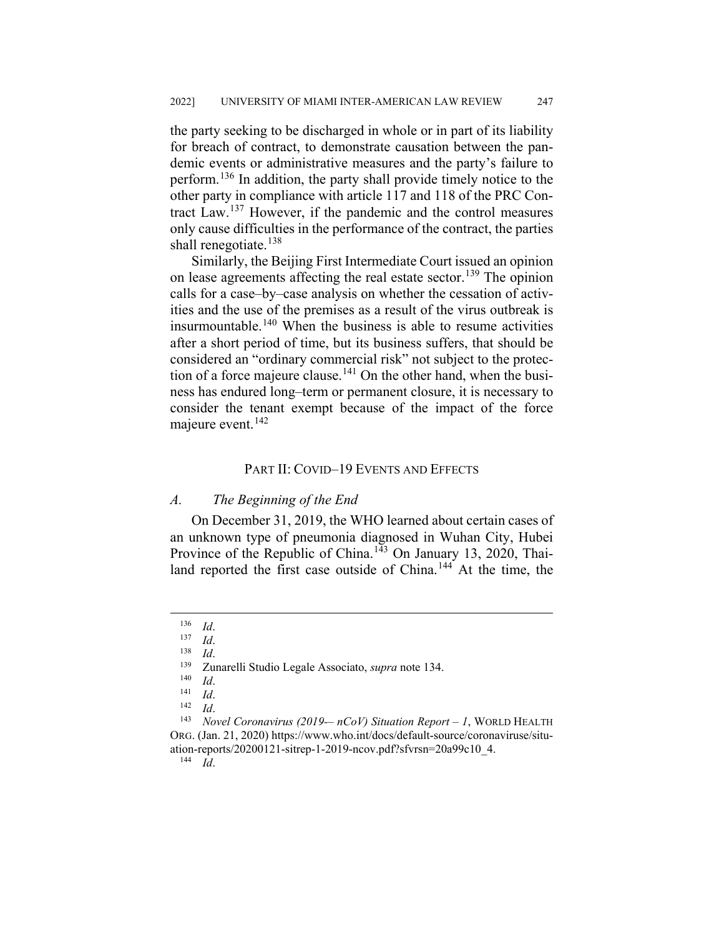the party seeking to be discharged in whole or in part of its liability for breach of contract, to demonstrate causation between the pandemic events or administrative measures and the party's failure to perform.<sup>[136](#page-21-0)</sup> In addition, the party shall provide timely notice to the other party in compliance with article 117 and 118 of the PRC Contract Law.[137](#page-21-1) However, if the pandemic and the control measures only cause difficulties in the performance of the contract, the parties shall renegotiate.<sup>[138](#page-21-2)</sup>

Similarly, the Beijing First Intermediate Court issued an opinion on lease agreements affecting the real estate sector.<sup>[139](#page-21-3)</sup> The opinion calls for a case–by–case analysis on whether the cessation of activities and the use of the premises as a result of the virus outbreak is insurmountable.<sup>[140](#page-21-4)</sup> When the business is able to resume activities after a short period of time, but its business suffers, that should be considered an "ordinary commercial risk" not subject to the protec-tion of a force majeure clause.<sup>[141](#page-21-5)</sup> On the other hand, when the business has endured long–term or permanent closure, it is necessary to consider the tenant exempt because of the impact of the force majeure event. [142](#page-21-6)

## PART II: COVID–19 EVENTS AND EFFECTS

#### *A. The Beginning of the End*

On December 31, 2019, the WHO learned about certain cases of an unknown type of pneumonia diagnosed in Wuhan City, Hubei Province of the Republic of China.<sup>[143](#page-21-7)</sup> On January 13, 2020, Thai-land reported the first case outside of China.<sup>[144](#page-21-8)</sup> At the time, the

<sup>144</sup> *Id*.

<span id="page-21-1"></span><span id="page-21-0"></span> $\frac{136}{137}$  *Id.* 

*Id.* 

<span id="page-21-2"></span> $\frac{138}{139}$  *Id.* 

<sup>139</sup> Zunarelli Studio Legale Associato, *supra* note 134.

*Id.* 

 $\frac{141}{142}$  *Id.* 

 $\frac{142}{143}$  *Id.* 

<span id="page-21-8"></span><span id="page-21-7"></span><span id="page-21-6"></span><span id="page-21-5"></span><span id="page-21-4"></span><span id="page-21-3"></span><sup>143</sup> *Novel Coronavirus (2019-– nCoV) Situation Report – 1*, WORLD HEALTH ORG. (Jan. 21, 2020) https://www.who.int/docs/default-source/coronaviruse/situation-reports/20200121-sitrep-1-2019-ncov.pdf?sfvrsn=20a99c10\_4.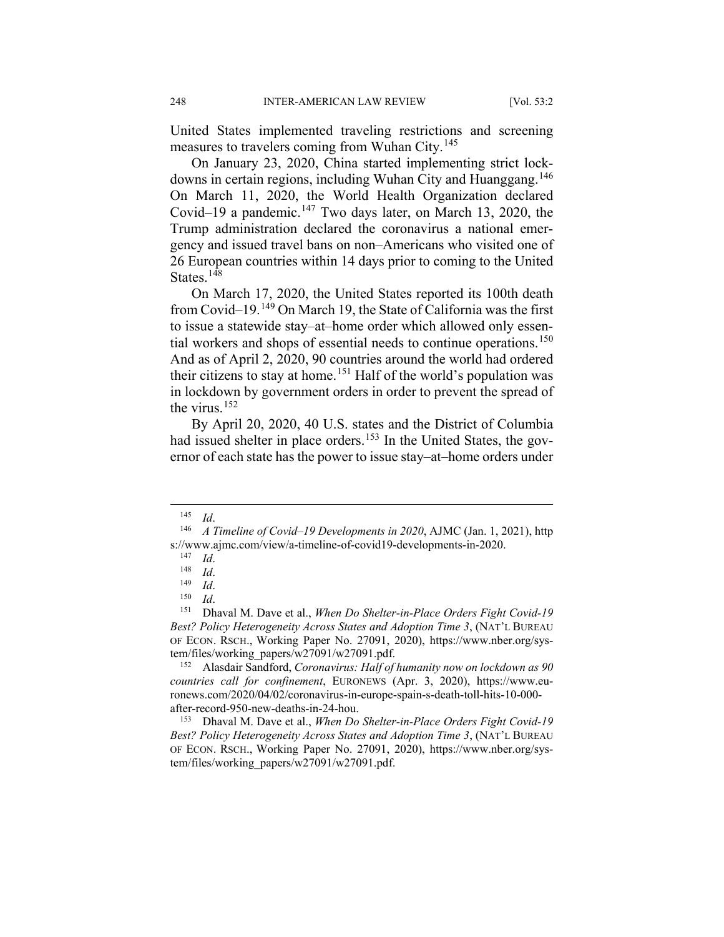United States implemented traveling restrictions and screening measures to travelers coming from Wuhan City.<sup>[145](#page-22-0)</sup>

On January 23, 2020, China started implementing strict lock-downs in certain regions, including Wuhan City and Huanggang.<sup>[146](#page-22-1)</sup> On March 11, 2020, the World Health Organization declared Covid–19 a pandemic.<sup>[147](#page-22-2)</sup> Two days later, on March 13, 2020, the Trump administration declared the coronavirus a national emergency and issued travel bans on non–Americans who visited one of 26 European countries within 14 days prior to coming to the United States.<sup>[148](#page-22-3)</sup>

On March 17, 2020, the United States reported its 100th death from Covid–19.<sup>[149](#page-22-4)</sup> On March 19, the State of California was the first to issue a statewide stay–at–home order which allowed only essen-tial workers and shops of essential needs to continue operations.<sup>[150](#page-22-5)</sup> And as of April 2, 2020, 90 countries around the world had ordered their citizens to stay at home.<sup>[151](#page-22-6)</sup> Half of the world's population was in lockdown by government orders in order to prevent the spread of the virus. $152$ 

By April 20, 2020, 40 U.S. states and the District of Columbia had issued shelter in place orders.<sup>[153](#page-22-8)</sup> In the United States, the governor of each state has the power to issue stay–at–home orders under

<span id="page-22-7"></span><sup>152</sup> Alasdair Sandford, *Coronavirus: Half of humanity now on lockdown as 90 countries call for confinement*, EURONEWS (Apr. 3, 2020), https://www.euronews.com/2020/04/02/coronavirus-in-europe-spain-s-death-toll-hits-10-000 after-record-950-new-deaths-in-24-hou.

<span id="page-22-8"></span><sup>153</sup> Dhaval M. Dave et al., *When Do Shelter-in-Place Orders Fight Covid-19 Best? Policy Heterogeneity Across States and Adoption Time 3*, (NAT'L BUREAU OF ECON. RSCH., Working Paper No. 27091, 2020), https://www.nber.org/system/files/working\_papers/w27091/w27091.pdf.

 <sup>145</sup> *Id*.

<span id="page-22-2"></span><span id="page-22-1"></span><span id="page-22-0"></span><sup>146</sup> *A Timeline of Covid–19 Developments in 2020*, AJMC (Jan. 1, 2021), http s://www.ajmc.com/view/a-timeline-of-covid19-developments-in-2020.

<sup>147</sup> *Id*.

 $\frac{148}{149}$  *Id.* 

 $\frac{149}{150}$  *Id.* 

<sup>150</sup> *Id*.

<span id="page-22-6"></span><span id="page-22-5"></span><span id="page-22-4"></span><span id="page-22-3"></span><sup>151</sup> Dhaval M. Dave et al., *When Do Shelter-in-Place Orders Fight Covid-19 Best? Policy Heterogeneity Across States and Adoption Time 3*, (NAT'L BUREAU OF ECON. RSCH., Working Paper No. 27091, 2020), https://www.nber.org/system/files/working\_papers/w27091/w27091.pdf.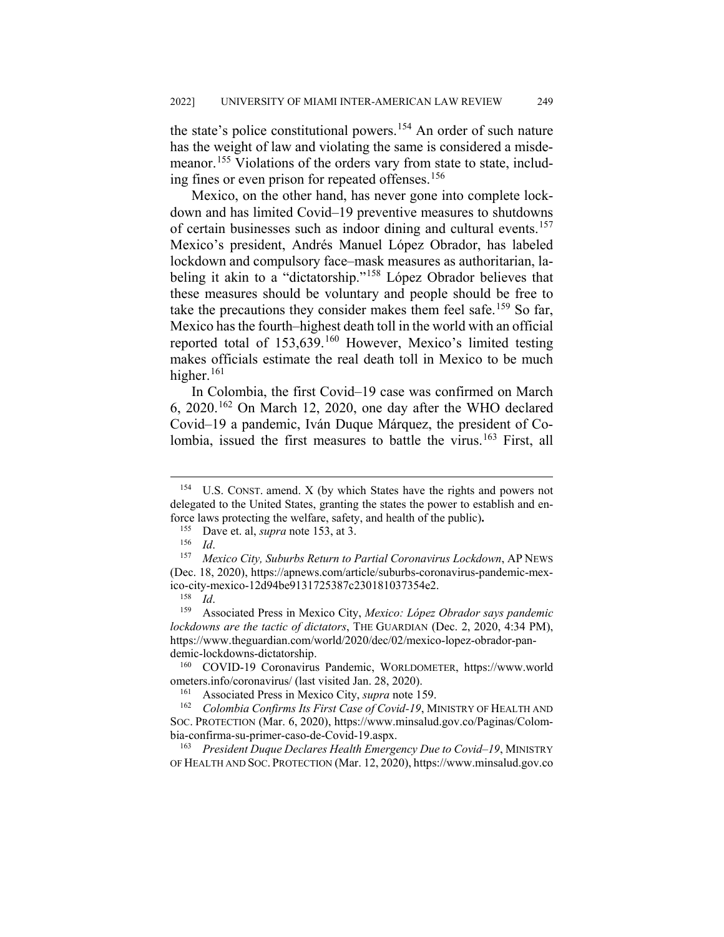the state's police constitutional powers.<sup>[154](#page-23-0)</sup> An order of such nature has the weight of law and violating the same is considered a misde-meanor.<sup>[155](#page-23-1)</sup> Violations of the orders vary from state to state, includ-ing fines or even prison for repeated offenses.<sup>[156](#page-23-2)</sup>

Mexico, on the other hand, has never gone into complete lockdown and has limited Covid–19 preventive measures to shutdowns of certain businesses such as indoor dining and cultural events.<sup>[157](#page-23-3)</sup> Mexico's president, Andrés Manuel López Obrador, has labeled lockdown and compulsory face–mask measures as authoritarian, la-beling it akin to a "dictatorship."<sup>[158](#page-23-4)</sup> López Obrador believes that these measures should be voluntary and people should be free to take the precautions they consider makes them feel safe.<sup>[159](#page-23-5)</sup> So far, Mexico has the fourth–highest death toll in the world with an official reported total of 153,639.[160](#page-23-6) However, Mexico's limited testing makes officials estimate the real death toll in Mexico to be much higher. $161$ 

In Colombia, the first Covid–19 case was confirmed on March 6, 2020.[162](#page-23-8) On March 12, 2020, one day after the WHO declared Covid–19 a pandemic, Iván Duque Márquez, the president of Co-lombia, issued the first measures to battle the virus.<sup>[163](#page-23-9)</sup> First, all

<span id="page-23-6"></span><sup>160</sup> COVID-19 Coronavirus Pandemic, WORLDOMETER, https://www.world ometers.info/coronavirus/ (last visited Jan. 28, 2020).

Associated Press in Mexico City, *supra* note 159.

<span id="page-23-9"></span><sup>163</sup> *President Duque Declares Health Emergency Due to Covid–19*, MINISTRY OF HEALTH AND SOC. PROTECTION (Mar. 12, 2020), https://www.minsalud.gov.co

<span id="page-23-0"></span> <sup>154</sup> U.S. CONST. amend. X (by which States have the rights and powers not delegated to the United States, granting the states the power to establish and enforce laws protecting the welfare, safety, and health of the public)**.**

<sup>&</sup>lt;sup>155</sup> Dave et. al, *supra* note 153, at 3.<br><sup>156</sup> Id

 $\frac{156}{157}$  *Id.* 

<span id="page-23-3"></span><span id="page-23-2"></span><span id="page-23-1"></span><sup>157</sup> *Mexico City, Suburbs Return to Partial Coronavirus Lockdown*, AP NEWS (Dec. 18, 2020), https://apnews.com/article/suburbs-coronavirus-pandemic-mexico-city-mexico-12d94be9131725387c230181037354e2.

 $\frac{158}{159}$  *Id.* 

<span id="page-23-5"></span><span id="page-23-4"></span><sup>159</sup> Associated Press in Mexico City, *Mexico: López Obrador says pandemic lockdowns are the tactic of dictators*, THE GUARDIAN (Dec. 2, 2020, 4:34 PM), https://www.theguardian.com/world/2020/dec/02/mexico-lopez-obrador-pandemic-lockdowns-dictatorship.

<span id="page-23-8"></span><span id="page-23-7"></span><sup>162</sup> *Colombia Confirms Its First Case of Covid-19*, MINISTRY OF HEALTH AND SOC. PROTECTION (Mar. 6, 2020), https://www.minsalud.gov.co/Paginas/Colombia-confirma-su-primer-caso-de-Covid-19.aspx.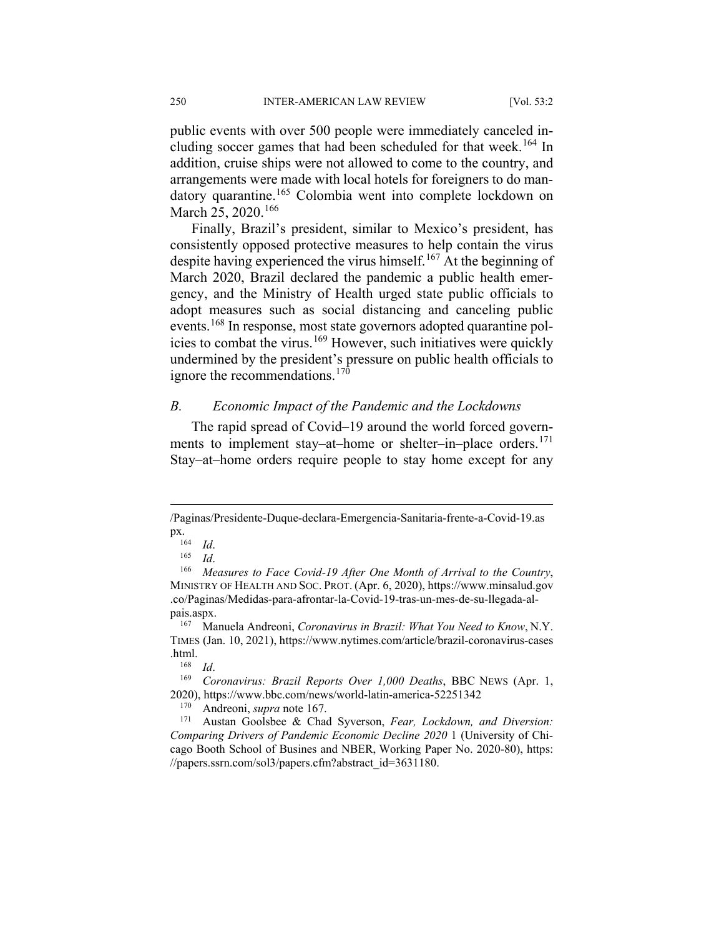public events with over 500 people were immediately canceled in-cluding soccer games that had been scheduled for that week.<sup>[164](#page-24-0)</sup> In addition, cruise ships were not allowed to come to the country, and arrangements were made with local hotels for foreigners to do man-datory quarantine.<sup>[165](#page-24-1)</sup> Colombia went into complete lockdown on March 25, 2020.<sup>[166](#page-24-2)</sup>

Finally, Brazil's president, similar to Mexico's president, has consistently opposed protective measures to help contain the virus despite having experienced the virus himself.<sup>[167](#page-24-3)</sup> At the beginning of March 2020, Brazil declared the pandemic a public health emergency, and the Ministry of Health urged state public officials to adopt measures such as social distancing and canceling public events.<sup>[168](#page-24-4)</sup> In response, most state governors adopted quarantine pol-icies to combat the virus.<sup>[169](#page-24-5)</sup> However, such initiatives were quickly undermined by the president's pressure on public health officials to ignore the recommendations. $170$ 

### *B. Economic Impact of the Pandemic and the Lockdowns*

The rapid spread of Covid–19 around the world forced govern-ments to implement stay–at–home or shelter–in–place orders.<sup>[171](#page-24-7)</sup> Stay–at–home orders require people to stay home except for any

<span id="page-24-0"></span> <sup>/</sup>Paginas/Presidente-Duque-declara-Emergencia-Sanitaria-frente-a-Covid-19.as px.<br> $164$  *Id.*<br> $165$  *Id.* 

<sup>165</sup> *Id*.

<span id="page-24-2"></span><span id="page-24-1"></span><sup>166</sup> *Measures to Face Covid-19 After One Month of Arrival to the Country*, MINISTRY OF HEALTH AND SOC. PROT. (Apr. 6, 2020), https://www.minsalud.gov .co/Paginas/Medidas-para-afrontar-la-Covid-19-tras-un-mes-de-su-llegada-alpais.aspx.

<span id="page-24-3"></span><sup>167</sup> Manuela Andreoni, *Coronavirus in Brazil: What You Need to Know*, N.Y. TIMES (Jan. 10, 2021), https://www.nytimes.com/article/brazil-coronavirus-cases .html.<br><sup>168</sup>

<sup>168</sup> *Id*.

<span id="page-24-5"></span><span id="page-24-4"></span><sup>169</sup> *Coronavirus: Brazil Reports Over 1,000 Deaths*, BBC NEWS (Apr. 1, 2020), https://www.bbc.com/news/world-latin-america-52251342<br><sup>170</sup> Andreoni, sung pote 167

<sup>&</sup>lt;sup>170</sup> Andreoni, *supra* note 167.

<span id="page-24-7"></span><span id="page-24-6"></span>Austan Goolsbee & Chad Syverson, *Fear, Lockdown, and Diversion: Comparing Drivers of Pandemic Economic Decline 2020* 1 (University of Chicago Booth School of Busines and NBER, Working Paper No. 2020-80), https: //papers.ssrn.com/sol3/papers.cfm?abstract\_id=3631180.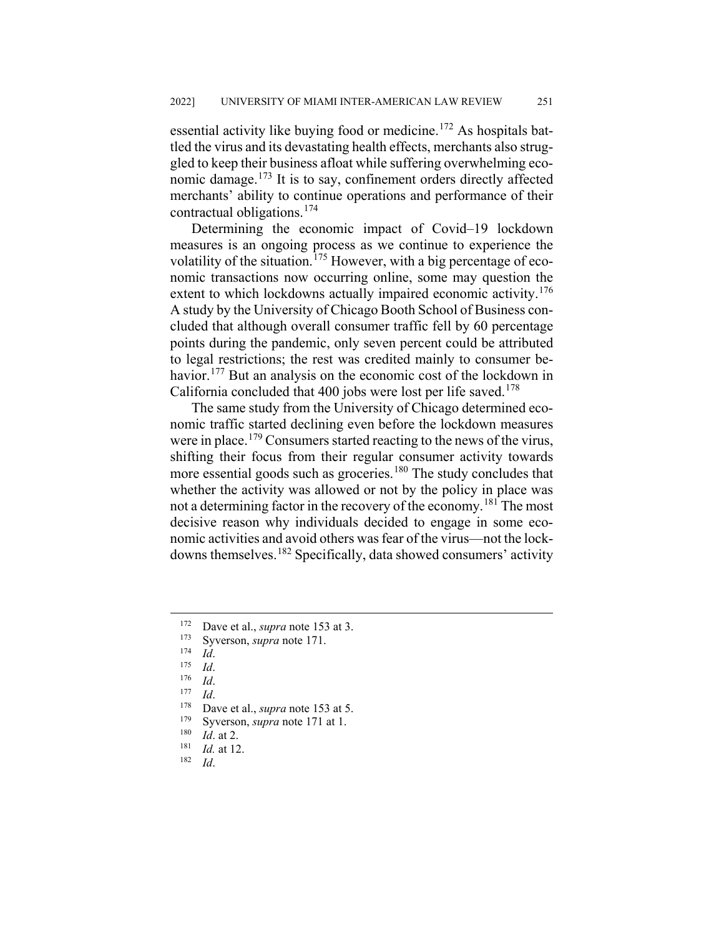essential activity like buying food or medicine.<sup>[172](#page-25-0)</sup> As hospitals battled the virus and its devastating health effects, merchants also struggled to keep their business afloat while suffering overwhelming eco-nomic damage.<sup>[173](#page-25-1)</sup> It is to say, confinement orders directly affected merchants' ability to continue operations and performance of their contractual obligations.[174](#page-25-2)

Determining the economic impact of Covid–19 lockdown measures is an ongoing process as we continue to experience the volatility of the situation.<sup>[175](#page-25-3)</sup> However, with a big percentage of economic transactions now occurring online, some may question the extent to which lockdowns actually impaired economic activity.<sup>[176](#page-25-4)</sup> A study by the University of Chicago Booth School of Business concluded that although overall consumer traffic fell by 60 percentage points during the pandemic, only seven percent could be attributed to legal restrictions; the rest was credited mainly to consumer be-havior.<sup>[177](#page-25-5)</sup> But an analysis on the economic cost of the lockdown in California concluded that 400 jobs were lost per life saved.<sup>[178](#page-25-6)</sup>

The same study from the University of Chicago determined economic traffic started declining even before the lockdown measures were in place.<sup>[179](#page-25-7)</sup> Consumers started reacting to the news of the virus, shifting their focus from their regular consumer activity towards more essential goods such as groceries.<sup>[180](#page-25-8)</sup> The study concludes that whether the activity was allowed or not by the policy in place was not a determining factor in the recovery of the economy.<sup>[181](#page-25-9)</sup> The most decisive reason why individuals decided to engage in some economic activities and avoid others was fear of the virus—not the lockdowns themselves.[182](#page-25-10) Specifically, data showed consumers' activity

<span id="page-25-0"></span><sup>&</sup>lt;sup>172</sup> Dave et al., *supra* note 153 at 3.<br><sup>173</sup> Syriansen, *supra* note 171

<span id="page-25-1"></span><sup>&</sup>lt;sup>173</sup> Syverson, *supra* note 171.

<span id="page-25-2"></span> $\frac{174}{175}$  *Id.* 

<span id="page-25-4"></span><span id="page-25-3"></span> $\frac{175}{176}$  *Id.* 

*Id.* 

<span id="page-25-5"></span> $\frac{177}{178}$  *Id*.

<span id="page-25-6"></span><sup>&</sup>lt;sup>178</sup> Dave et al., *supra* note 153 at 5.<br><sup>179</sup> Systems supra note 171 at 1

<span id="page-25-7"></span><sup>&</sup>lt;sup>179</sup> Syverson, *supra* note 171 at 1.<br><sup>180</sup> *Id.* at 2

<span id="page-25-8"></span> $\frac{180}{181}$  *Id.* at 2.

<span id="page-25-10"></span><span id="page-25-9"></span> $\frac{181}{182}$  *Id.* at 12.

<sup>182</sup> *Id*.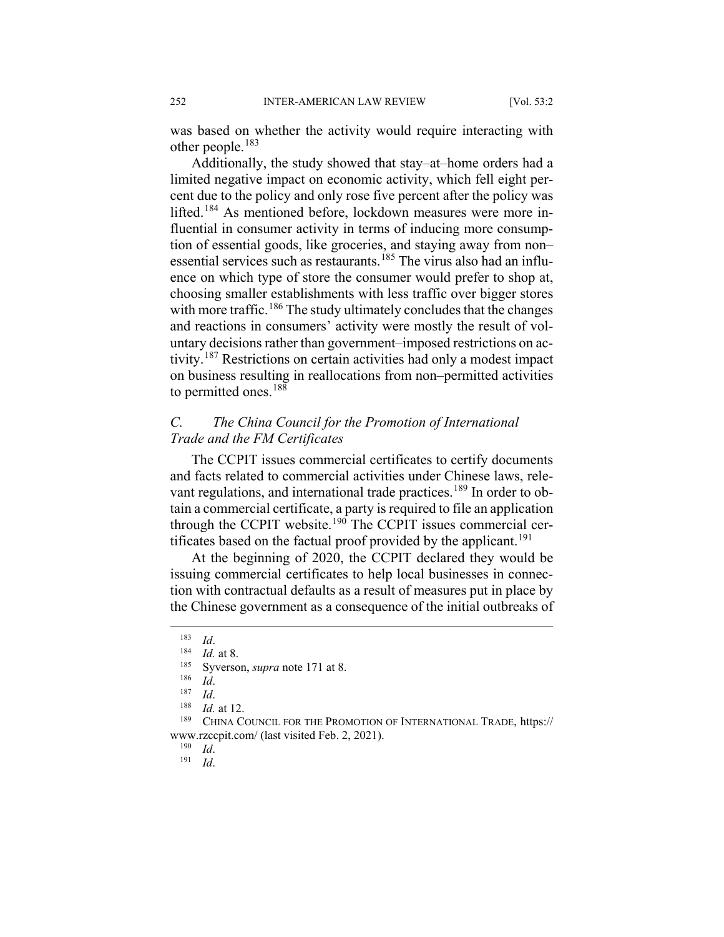was based on whether the activity would require interacting with other people. $183$ 

Additionally, the study showed that stay–at–home orders had a limited negative impact on economic activity, which fell eight percent due to the policy and only rose five percent after the policy was lifted.<sup>[184](#page-26-1)</sup> As mentioned before, lockdown measures were more influential in consumer activity in terms of inducing more consumption of essential goods, like groceries, and staying away from non– essential services such as restaurants.<sup>[185](#page-26-2)</sup> The virus also had an influence on which type of store the consumer would prefer to shop at, choosing smaller establishments with less traffic over bigger stores with more traffic.<sup>[186](#page-26-3)</sup> The study ultimately concludes that the changes and reactions in consumers' activity were mostly the result of voluntary decisions rather than government–imposed restrictions on activity.[187](#page-26-4) Restrictions on certain activities had only a modest impact on business resulting in reallocations from non–permitted activities to permitted ones.<sup>[188](#page-26-5)</sup>

## *C. The China Council for the Promotion of International Trade and the FM Certificates*

The CCPIT issues commercial certificates to certify documents and facts related to commercial activities under Chinese laws, rele-vant regulations, and international trade practices.<sup>[189](#page-26-6)</sup> In order to obtain a commercial certificate, a party is required to file an application through the CCPIT website.<sup>[190](#page-26-7)</sup> The CCPIT issues commercial cer-tificates based on the factual proof provided by the applicant.<sup>[191](#page-26-8)</sup>

At the beginning of 2020, the CCPIT declared they would be issuing commercial certificates to help local businesses in connection with contractual defaults as a result of measures put in place by the Chinese government as a consequence of the initial outbreaks of

 $\frac{187}{188}$  *Id.* 

 $\frac{190}{191}$  *Id.* 

<sup>191</sup> *Id*.

<span id="page-26-0"></span> <sup>183</sup> *Id*.

<span id="page-26-1"></span> $\frac{184}{185}$  *Id.* at 8.

<sup>&</sup>lt;sup>185</sup> Syverson, *supra* note 171 at 8.

*Id.* 

 $\frac{188}{189}$  *Id.* at 12.

<span id="page-26-8"></span><span id="page-26-7"></span><span id="page-26-6"></span><span id="page-26-5"></span><span id="page-26-4"></span><span id="page-26-3"></span><span id="page-26-2"></span>CHINA COUNCIL FOR THE PROMOTION OF INTERNATIONAL TRADE, https:// www.rzccpit.com/ (last visited Feb. 2, 2021).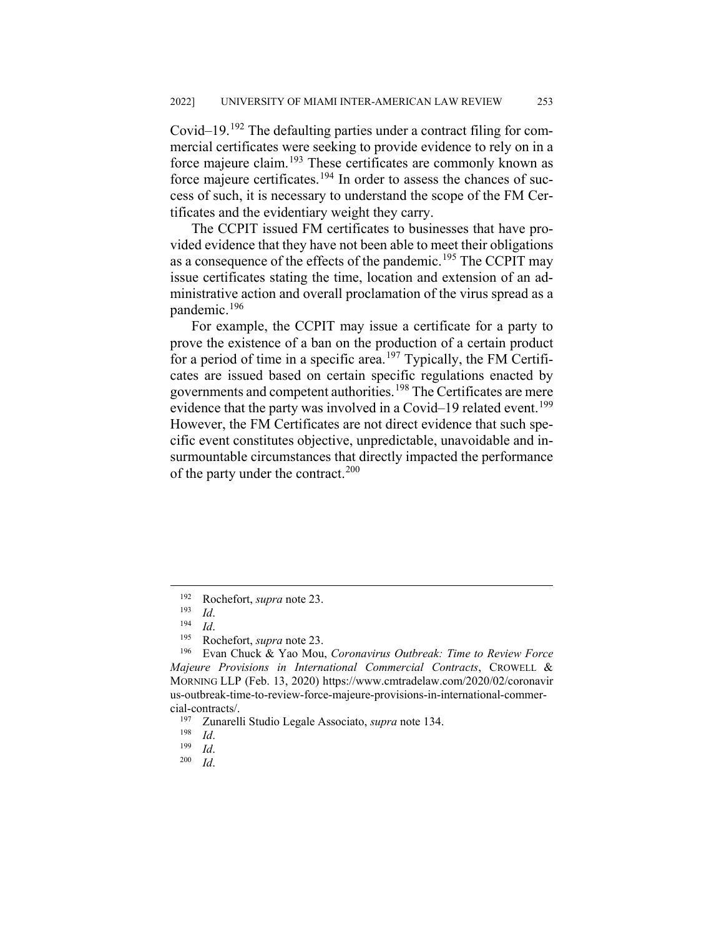Covid–19.<sup>[192](#page-27-0)</sup> The defaulting parties under a contract filing for commercial certificates were seeking to provide evidence to rely on in a force majeure claim.[193](#page-27-1) These certificates are commonly known as force majeure certificates.<sup>[194](#page-27-2)</sup> In order to assess the chances of success of such, it is necessary to understand the scope of the FM Certificates and the evidentiary weight they carry.

The CCPIT issued FM certificates to businesses that have provided evidence that they have not been able to meet their obligations as a consequence of the effects of the pandemic.<sup>[195](#page-27-3)</sup> The CCPIT may issue certificates stating the time, location and extension of an administrative action and overall proclamation of the virus spread as a pandemic.[196](#page-27-4)

For example, the CCPIT may issue a certificate for a party to prove the existence of a ban on the production of a certain product for a period of time in a specific area.<sup>[197](#page-27-5)</sup> Typically, the FM Certificates are issued based on certain specific regulations enacted by governments and competent authorities.<sup>[198](#page-27-6)</sup> The Certificates are mere evidence that the party was involved in a Covid–19 related event.<sup>[199](#page-27-7)</sup> However, the FM Certificates are not direct evidence that such specific event constitutes objective, unpredictable, unavoidable and insurmountable circumstances that directly impacted the performance of the party under the contract.<sup>[200](#page-27-8)</sup>

<sup>&</sup>lt;sup>192</sup> Rochefort, *supra* note 23.

 $\frac{193}{194}$  *Id.* 

 $\frac{194}{195}$  *Id*.

Rochefort, *supra* note 23.

<span id="page-27-4"></span><span id="page-27-3"></span><span id="page-27-2"></span><span id="page-27-1"></span><span id="page-27-0"></span><sup>196</sup> Evan Chuck & Yao Mou, *Coronavirus Outbreak: Time to Review Force Majeure Provisions in International Commercial Contracts*, CROWELL & MORNING LLP (Feb. 13, 2020) https://www.cmtradelaw.com/2020/02/coronavir us-outbreak-time-to-review-force-majeure-provisions-in-international-commercial-contracts/.

<span id="page-27-5"></span><sup>197</sup> Zunarelli Studio Legale Associato, *supra* note 134.

<span id="page-27-6"></span> $\frac{198}{199}$  *Id.* 

<span id="page-27-8"></span><span id="page-27-7"></span> $\frac{199}{200}$  *Id.* 

*Id.*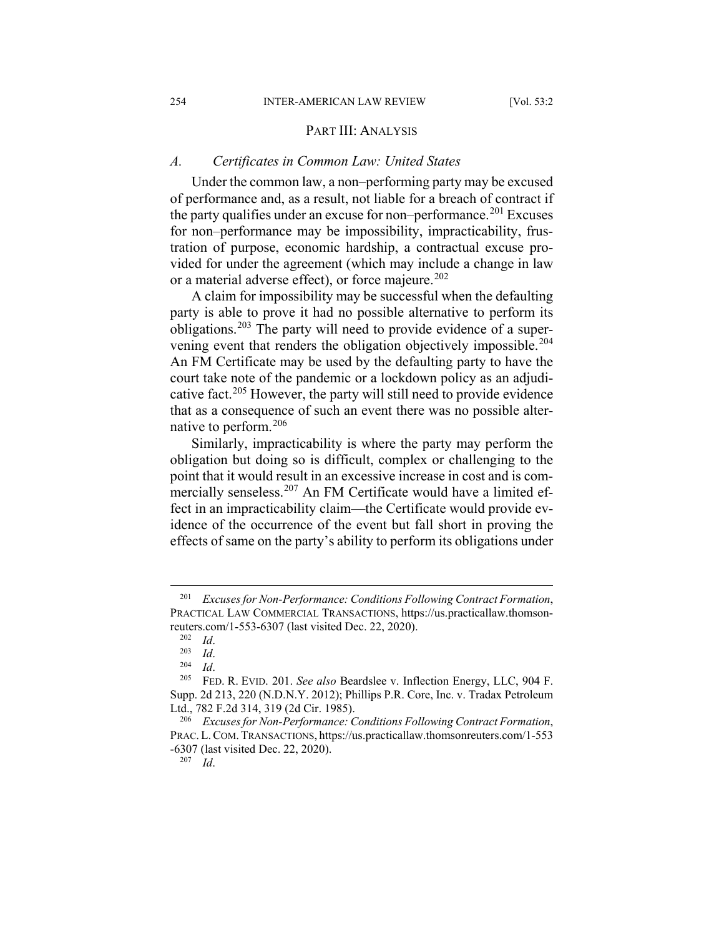#### PART III: ANALYSIS

#### *A. Certificates in Common Law: United States*

Under the common law, a non–performing party may be excused of performance and, as a result, not liable for a breach of contract if the party qualifies under an excuse for non–performance.<sup>[201](#page-28-0)</sup> Excuses for non–performance may be impossibility, impracticability, frustration of purpose, economic hardship, a contractual excuse provided for under the agreement (which may include a change in law or a material adverse effect), or force majeure. $202$ 

A claim for impossibility may be successful when the defaulting party is able to prove it had no possible alternative to perform its obligations.[203](#page-28-2) The party will need to provide evidence of a super-vening event that renders the obligation objectively impossible.<sup>[204](#page-28-3)</sup> An FM Certificate may be used by the defaulting party to have the court take note of the pandemic or a lockdown policy as an adjudi-cative fact.<sup>[205](#page-28-4)</sup> However, the party will still need to provide evidence that as a consequence of such an event there was no possible alternative to perform.[206](#page-28-5)

Similarly, impracticability is where the party may perform the obligation but doing so is difficult, complex or challenging to the point that it would result in an excessive increase in cost and is com-mercially senseless.<sup>[207](#page-28-6)</sup> An FM Certificate would have a limited effect in an impracticability claim—the Certificate would provide evidence of the occurrence of the event but fall short in proving the effects of same on the party's ability to perform its obligations under

<sup>207</sup> *Id*.

<span id="page-28-1"></span><span id="page-28-0"></span> <sup>201</sup> *Excuses for Non-Performance: Conditions Following Contract Formation*, PRACTICAL LAW COMMERCIAL TRANSACTIONS, https://us.practicallaw.thomsonreuters.com/1-553-6307 (last visited Dec. 22, 2020).

*Id.* 

 $\frac{203}{204}$  *Id.* 

<sup>204</sup> *Id*.

<span id="page-28-4"></span><span id="page-28-3"></span><span id="page-28-2"></span><sup>205</sup> FED. R. EVID. 201. *See also* Beardslee v. Inflection Energy, LLC, 904 F. Supp. 2d 213, 220 (N.D.N.Y. 2012); Phillips P.R. Core, Inc. v. Tradax Petroleum Ltd., 782 F.2d 314, 319 (2d Cir. 1985).

<span id="page-28-6"></span><span id="page-28-5"></span><sup>206</sup> *Excuses for Non-Performance: Conditions Following Contract Formation*, PRAC.L.COM. TRANSACTIONS, https://us.practicallaw.thomsonreuters.com/1-553 -6307 (last visited Dec. 22, 2020).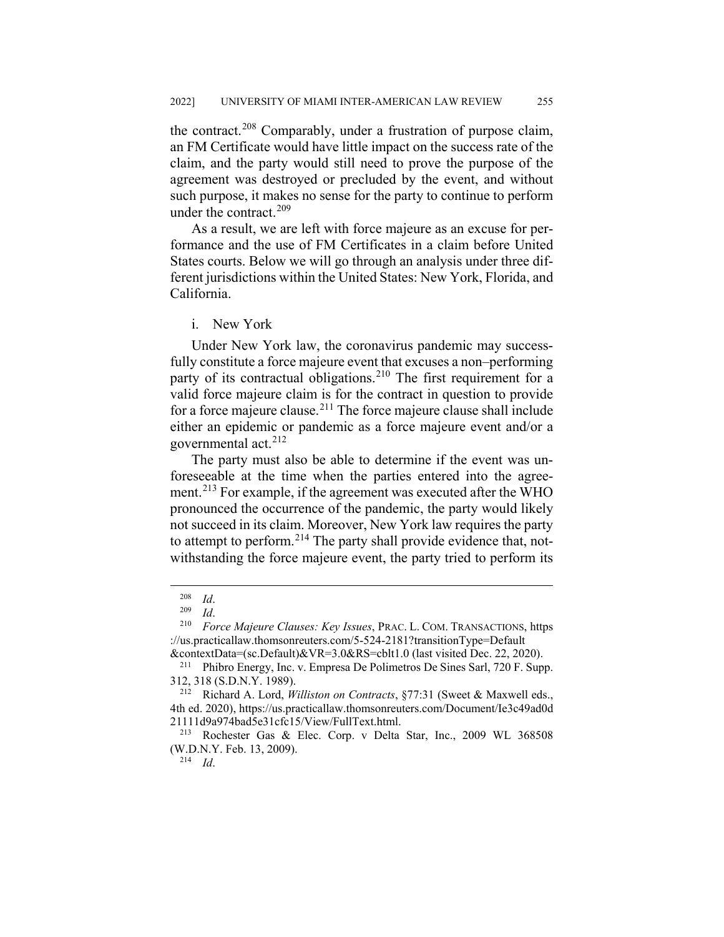the contract.[208](#page-29-0) Comparably, under a frustration of purpose claim, an FM Certificate would have little impact on the success rate of the claim, and the party would still need to prove the purpose of the agreement was destroyed or precluded by the event, and without such purpose, it makes no sense for the party to continue to perform under the contract.<sup>[209](#page-29-1)</sup>

As a result, we are left with force majeure as an excuse for performance and the use of FM Certificates in a claim before United States courts. Below we will go through an analysis under three different jurisdictions within the United States: New York, Florida, and California.

i. New York

Under New York law, the coronavirus pandemic may successfully constitute a force majeure event that excuses a non–performing party of its contractual obligations.<sup>[210](#page-29-2)</sup> The first requirement for a valid force majeure claim is for the contract in question to provide for a force majeure clause.[211](#page-29-3) The force majeure clause shall include either an epidemic or pandemic as a force majeure event and/or a governmental act.<sup>[212](#page-29-4)</sup>

The party must also be able to determine if the event was unforeseeable at the time when the parties entered into the agree-ment.<sup>[213](#page-29-5)</sup> For example, if the agreement was executed after the WHO pronounced the occurrence of the pandemic, the party would likely not succeed in its claim. Moreover, New York law requires the party to attempt to perform.<sup>[214](#page-29-6)</sup> The party shall provide evidence that, notwithstanding the force majeure event, the party tried to perform its

<sup>214</sup> *Id*.

 $\frac{208}{209}$  *Id.* 

 $\frac{209}{210}$  *Id.* 

<span id="page-29-2"></span><span id="page-29-1"></span><span id="page-29-0"></span><sup>210</sup> *Force Majeure Clauses: Key Issues*, PRAC. L. COM. TRANSACTIONS, https ://us.practicallaw.thomsonreuters.com/5-524-2181?transitionType=Default

<sup>&</sup>amp;contextData=(sc.Default)&VR=3.0&RS=cblt1.0 (last visited Dec. 22, 2020).

<span id="page-29-3"></span><sup>211</sup> Phibro Energy, Inc. v. Empresa De Polimetros De Sines Sarl, 720 F. Supp. 312, 318 (S.D.N.Y. 1989).

<span id="page-29-4"></span><sup>212</sup> Richard A. Lord, *Williston on Contracts*, §77:31 (Sweet & Maxwell eds., 4th ed. 2020), https://us.practicallaw.thomsonreuters.com/Document/Ie3c49ad0d 21111d9a974bad5e31cfc15/View/FullText.html.

<span id="page-29-6"></span><span id="page-29-5"></span><sup>213</sup> Rochester Gas & Elec. Corp. v Delta Star, Inc., 2009 WL 368508 (W.D.N.Y. Feb. 13, 2009).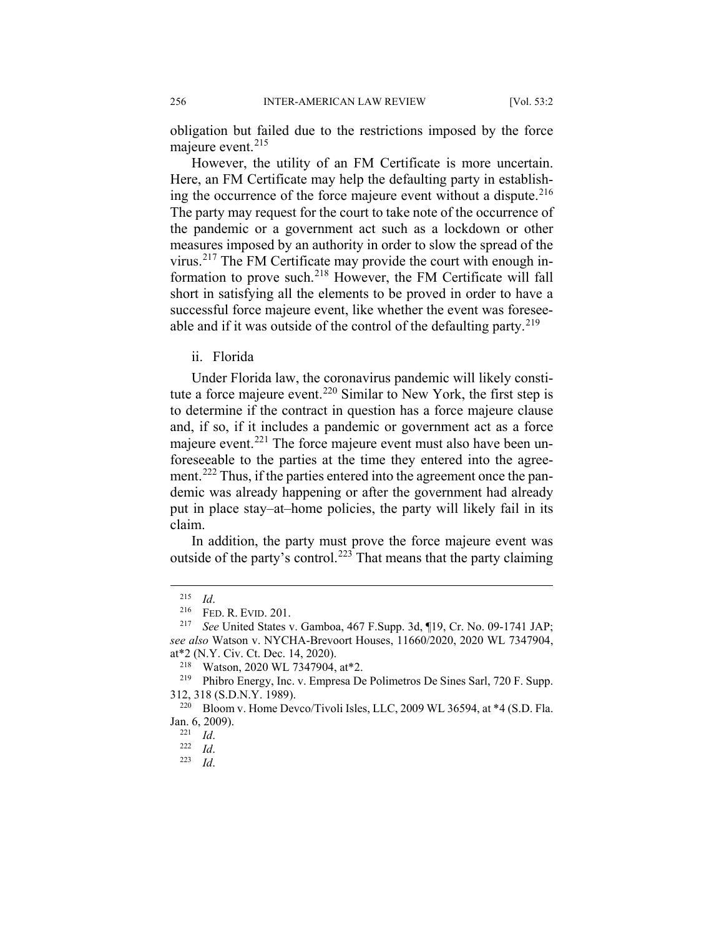obligation but failed due to the restrictions imposed by the force majeure event.<sup>[215](#page-30-0)</sup>

However, the utility of an FM Certificate is more uncertain. Here, an FM Certificate may help the defaulting party in establishing the occurrence of the force majeure event without a dispute. $216$ The party may request for the court to take note of the occurrence of the pandemic or a government act such as a lockdown or other measures imposed by an authority in order to slow the spread of the virus.[217](#page-30-2) The FM Certificate may provide the court with enough information to prove such.[218](#page-30-3) However, the FM Certificate will fall short in satisfying all the elements to be proved in order to have a successful force majeure event, like whether the event was foresee-able and if it was outside of the control of the defaulting party.<sup>[219](#page-30-4)</sup>

ii. Florida

Under Florida law, the coronavirus pandemic will likely consti-tute a force majeure event.<sup>[220](#page-30-5)</sup> Similar to New York, the first step is to determine if the contract in question has a force majeure clause and, if so, if it includes a pandemic or government act as a force majeure event.<sup>[221](#page-30-6)</sup> The force majeure event must also have been unforeseeable to the parties at the time they entered into the agree-ment.<sup>[222](#page-30-7)</sup> Thus, if the parties entered into the agreement once the pandemic was already happening or after the government had already put in place stay–at–home policies, the party will likely fail in its claim.

In addition, the party must prove the force majeure event was outside of the party's control.<sup>[223](#page-30-8)</sup> That means that the party claiming

 $\frac{215}{216}$  *Id.* 

 $^{216}$  FED. R. EVID. 201.<br><sup>217</sup> See United States v

<span id="page-30-2"></span><span id="page-30-1"></span><span id="page-30-0"></span><sup>217</sup> *See* United States v. Gamboa, 467 F.Supp. 3d, ¶19, Cr. No. 09-1741 JAP; *see also* Watson v. NYCHA-Brevoort Houses, 11660/2020, 2020 WL 7347904, at\*2 (N.Y. Civ. Ct. Dec. 14, 2020).

<sup>&</sup>lt;sup>218</sup> Watson, 2020 WL 7347904, at <sup>\*</sup>2.<br><sup>219</sup> Phibro Energy Inc. y Empress De

<span id="page-30-4"></span><span id="page-30-3"></span><sup>219</sup> Phibro Energy, Inc. v. Empresa De Polimetros De Sines Sarl, 720 F. Supp. 312, 318 (S.D.N.Y. 1989).

<span id="page-30-8"></span><span id="page-30-7"></span><span id="page-30-6"></span><span id="page-30-5"></span><sup>&</sup>lt;sup>220</sup> Bloom v. Home Devco/Tivoli Isles, LLC, 2009 WL 36594, at \*4 (S.D. Fla. Jan. 6, 2009).

 $\frac{221}{222}$  *Id.* 

 $\frac{222}{223}$  *Id.* 

*Id.*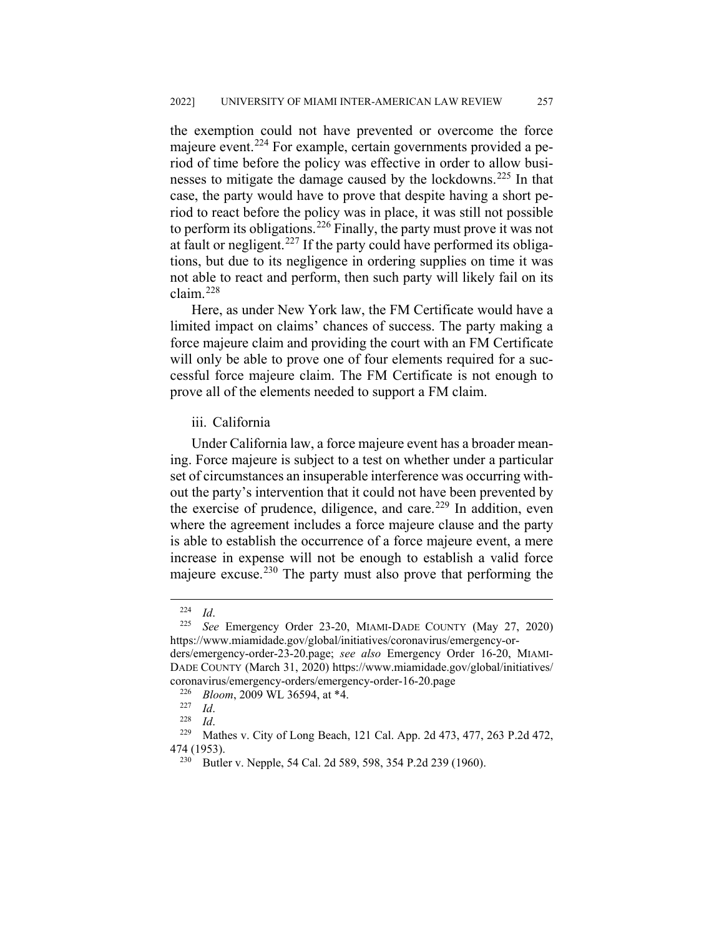the exemption could not have prevented or overcome the force majeure event.<sup>[224](#page-31-0)</sup> For example, certain governments provided a period of time before the policy was effective in order to allow busi-nesses to mitigate the damage caused by the lockdowns.<sup>[225](#page-31-1)</sup> In that case, the party would have to prove that despite having a short period to react before the policy was in place, it was still not possible to perform its obligations.[226](#page-31-2) Finally, the party must prove it was not at fault or negligent.<sup>[227](#page-31-3)</sup> If the party could have performed its obligations, but due to its negligence in ordering supplies on time it was not able to react and perform, then such party will likely fail on its claim.[228](#page-31-4)

Here, as under New York law, the FM Certificate would have a limited impact on claims' chances of success. The party making a force majeure claim and providing the court with an FM Certificate will only be able to prove one of four elements required for a successful force majeure claim. The FM Certificate is not enough to prove all of the elements needed to support a FM claim.

## iii. California

Under California law, a force majeure event has a broader meaning. Force majeure is subject to a test on whether under a particular set of circumstances an insuperable interference was occurring without the party's intervention that it could not have been prevented by the exercise of prudence, diligence, and care.<sup>[229](#page-31-5)</sup> In addition, even where the agreement includes a force majeure clause and the party is able to establish the occurrence of a force majeure event, a mere increase in expense will not be enough to establish a valid force majeure excuse.<sup>[230](#page-31-6)</sup> The party must also prove that performing the

 $\frac{224}{225}$  *Id.* 

<span id="page-31-1"></span><span id="page-31-0"></span><sup>225</sup> *See* Emergency Order 23-20, MIAMI-DADE COUNTY (May 27, 2020) https://www.miamidade.gov/global/initiatives/coronavirus/emergency-orders/emergency-order-23-20.page; *see also* Emergency Order 16-20, MIAMI-DADE COUNTY (March 31, 2020) https://www.miamidade.gov/global/initiatives/ coronavirus/emergency-orders/emergency-order-16-20.page

<sup>&</sup>lt;sup>226</sup> *Bloom*, 2009 WL 36594, at \*4.

 $\frac{227}{228}$  *Id.* 

 $\frac{228}{229}$  *Id.* 

<span id="page-31-6"></span><span id="page-31-5"></span><span id="page-31-4"></span><span id="page-31-3"></span><span id="page-31-2"></span>Mathes v. City of Long Beach, 121 Cal. App. 2d 473, 477, 263 P.2d 472, 474 (1953).

<sup>230</sup> Butler v. Nepple, 54 Cal. 2d 589, 598, 354 P.2d 239 (1960).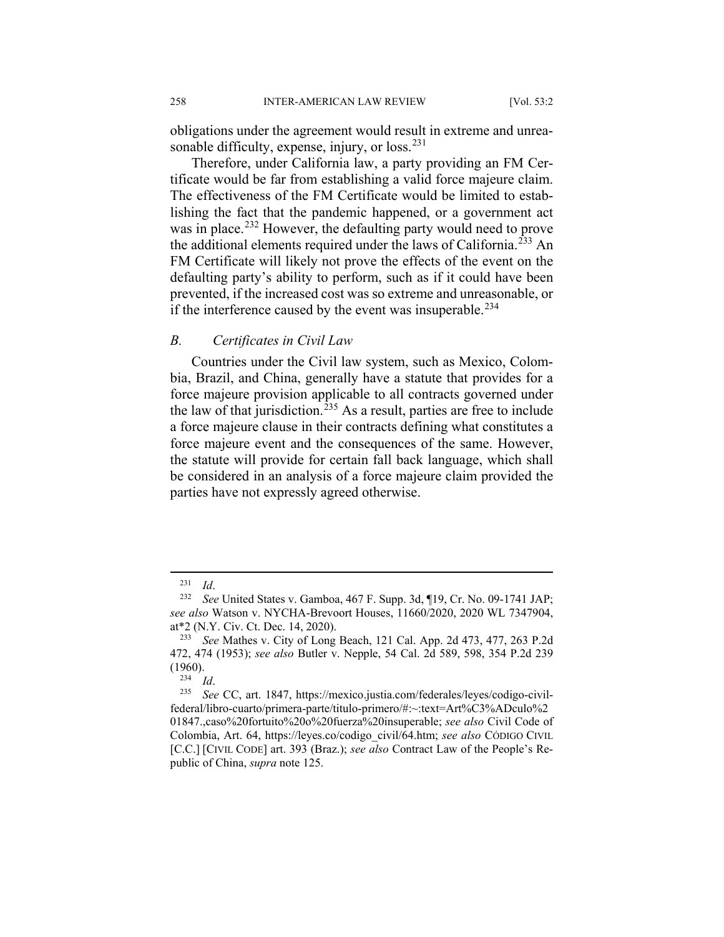obligations under the agreement would result in extreme and unreasonable difficulty, expense, injury, or  $loss.^{231}$  $loss.^{231}$  $loss.^{231}$ 

Therefore, under California law, a party providing an FM Certificate would be far from establishing a valid force majeure claim. The effectiveness of the FM Certificate would be limited to establishing the fact that the pandemic happened, or a government act was in place.<sup>[232](#page-32-1)</sup> However, the defaulting party would need to prove the additional elements required under the laws of California.<sup>[233](#page-32-2)</sup> An FM Certificate will likely not prove the effects of the event on the defaulting party's ability to perform, such as if it could have been prevented, if the increased cost was so extreme and unreasonable, or if the interference caused by the event was insuperable.<sup>[234](#page-32-3)</sup>

#### *B. Certificates in Civil Law*

Countries under the Civil law system, such as Mexico, Colombia, Brazil, and China, generally have a statute that provides for a force majeure provision applicable to all contracts governed under the law of that jurisdiction.<sup>[235](#page-32-4)</sup> As a result, parties are free to include a force majeure clause in their contracts defining what constitutes a force majeure event and the consequences of the same. However, the statute will provide for certain fall back language, which shall be considered in an analysis of a force majeure claim provided the parties have not expressly agreed otherwise.

 <sup>231</sup> *Id*.

<span id="page-32-1"></span><span id="page-32-0"></span><sup>232</sup> *See* United States v. Gamboa, 467 F. Supp. 3d, ¶19, Cr. No. 09-1741 JAP; *see also* Watson v. NYCHA-Brevoort Houses, 11660/2020, 2020 WL 7347904, at\*2 (N.Y. Civ. Ct. Dec. 14, 2020).

<span id="page-32-2"></span><sup>233</sup> *See* Mathes v. City of Long Beach, 121 Cal. App. 2d 473, 477, 263 P.2d 472, 474 (1953); *see also* Butler v. Nepple, 54 Cal. 2d 589, 598, 354 P.2d 239 (1960).

<sup>234</sup> *Id*.

<span id="page-32-4"></span><span id="page-32-3"></span><sup>235</sup> *See* CC, art. 1847, https://mexico.justia.com/federales/leyes/codigo-civilfederal/libro-cuarto/primera-parte/titulo-primero/#:~:text=Art%C3%ADculo%2 01847.,caso%20fortuito%20o%20fuerza%20insuperable; *see also* Civil Code of Colombia, Art. 64, https://leyes.co/codigo\_civil/64.htm; *see also* CÓDIGO CIVIL [C.C.] [CIVIL CODE] art. 393 (Braz.); *see also* Contract Law of the People's Republic of China, *supra* note 125.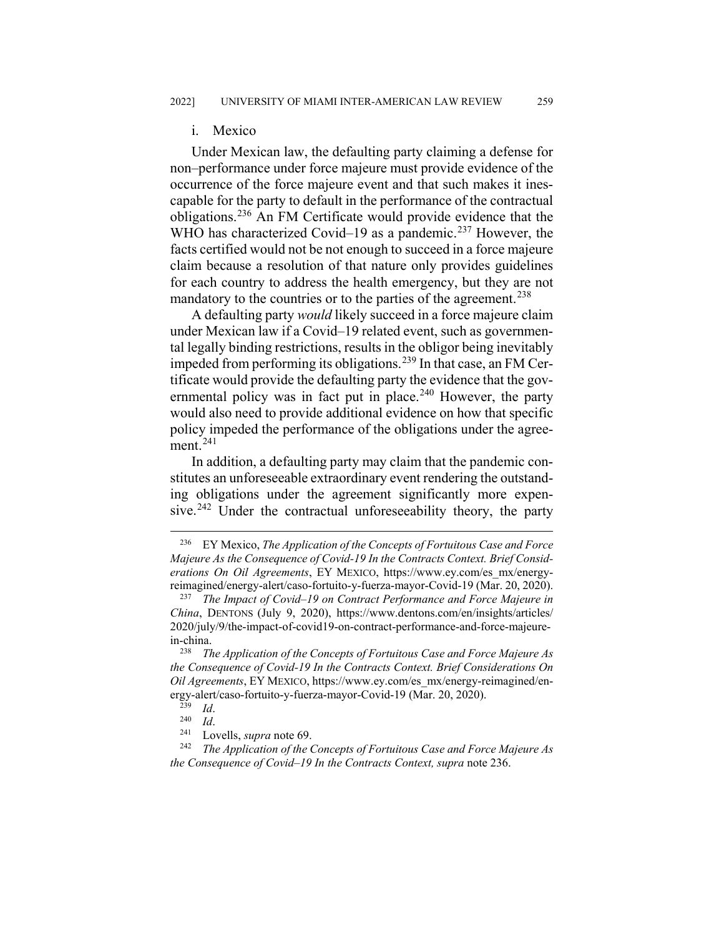#### i. Mexico

Under Mexican law, the defaulting party claiming a defense for non–performance under force majeure must provide evidence of the occurrence of the force majeure event and that such makes it inescapable for the party to default in the performance of the contractual obligations.[236](#page-33-0) An FM Certificate would provide evidence that the WHO has characterized Covid–19 as a pandemic.<sup>[237](#page-33-1)</sup> However, the facts certified would not be not enough to succeed in a force majeure claim because a resolution of that nature only provides guidelines for each country to address the health emergency, but they are not mandatory to the countries or to the parties of the agreement.<sup>[238](#page-33-2)</sup>

A defaulting party *would* likely succeed in a force majeure claim under Mexican law if a Covid–19 related event, such as governmental legally binding restrictions, results in the obligor being inevitably impeded from performing its obligations.<sup>[239](#page-33-3)</sup> In that case, an FM Certificate would provide the defaulting party the evidence that the governmental policy was in fact put in place. $240$  However, the party would also need to provide additional evidence on how that specific policy impeded the performance of the obligations under the agreement. $^{241}$  $^{241}$  $^{241}$ 

In addition, a defaulting party may claim that the pandemic constitutes an unforeseeable extraordinary event rendering the outstanding obligations under the agreement significantly more expen-sive.<sup>[242](#page-33-6)</sup> Under the contractual unforeseeability theory, the party

<span id="page-33-0"></span> <sup>236</sup> EY Mexico, *The Application of the Concepts of Fortuitous Case and Force Majeure As the Consequence of Covid-19 In the Contracts Context. Brief Considerations On Oil Agreements*, EY MEXICO, https://www.ey.com/es\_mx/energyreimagined/energy-alert/caso-fortuito-y-fuerza-mayor-Covid-19 (Mar. 20, 2020).

<span id="page-33-1"></span><sup>237</sup> *The Impact of Covid–19 on Contract Performance and Force Majeure in China*, DENTONS (July 9, 2020), https://www.dentons.com/en/insights/articles/ 2020/july/9/the-impact-of-covid19-on-contract-performance-and-force-majeurein-china.

<span id="page-33-2"></span><sup>238</sup> *The Application of the Concepts of Fortuitous Case and Force Majeure As the Consequence of Covid-19 In the Contracts Context. Brief Considerations On Oil Agreements*, EY MEXICO, https://www.ey.com/es\_mx/energy-reimagined/energy-alert/caso-fortuito-y-fuerza-mayor-Covid-19 (Mar. 20, 2020).<br><sup>239</sup> Id

 $\frac{239}{240}$  *Id.* 

 $\frac{240}{241}$  *Id.* 

<sup>&</sup>lt;sup>241</sup> Lovells, *supra* note 69.<br><sup>242</sup> *The Application of the C* 

<span id="page-33-6"></span><span id="page-33-5"></span><span id="page-33-4"></span><span id="page-33-3"></span>The Application of the Concepts of Fortuitous Case and Force Majeure As *the Consequence of Covid–19 In the Contracts Context, supra* note 236.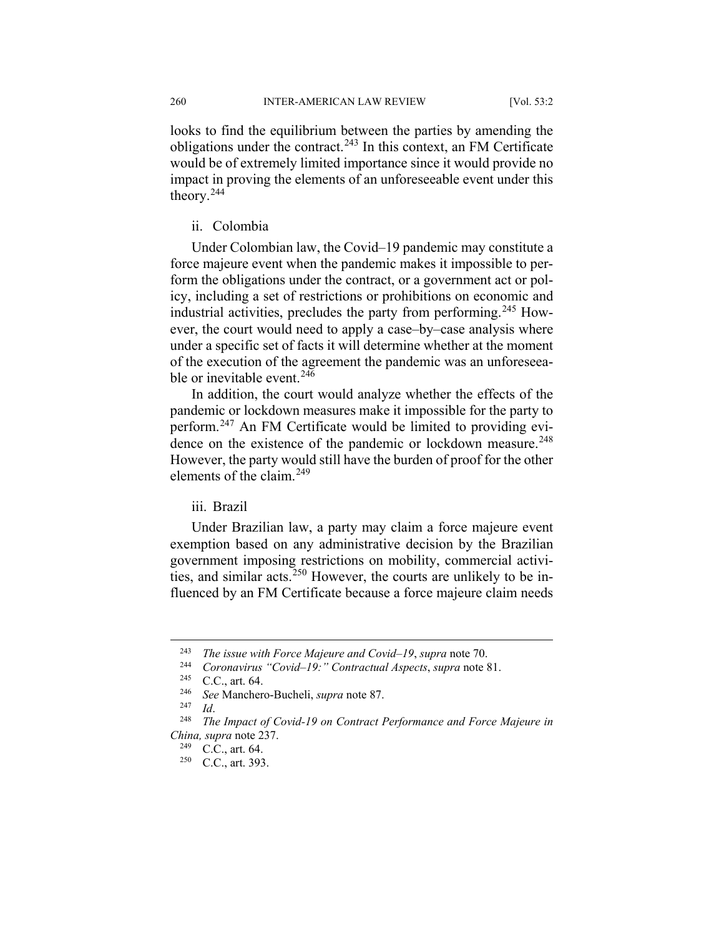looks to find the equilibrium between the parties by amending the obligations under the contract.<sup>[243](#page-34-0)</sup> In this context, an FM Certificate would be of extremely limited importance since it would provide no impact in proving the elements of an unforeseeable event under this theory.[244](#page-34-1)

## ii. Colombia

Under Colombian law, the Covid–19 pandemic may constitute a force majeure event when the pandemic makes it impossible to perform the obligations under the contract, or a government act or policy, including a set of restrictions or prohibitions on economic and industrial activities, precludes the party from performing.<sup>[245](#page-34-2)</sup> However, the court would need to apply a case–by–case analysis where under a specific set of facts it will determine whether at the moment of the execution of the agreement the pandemic was an unforeseeable or inevitable event.  $24\overline{6}$ 

In addition, the court would analyze whether the effects of the pandemic or lockdown measures make it impossible for the party to perform.[247](#page-34-4) An FM Certificate would be limited to providing evi-dence on the existence of the pandemic or lockdown measure.<sup>[248](#page-34-5)</sup> However, the party would still have the burden of proof for the other elements of the claim.<sup>[249](#page-34-6)</sup>

## iii. Brazil

Under Brazilian law, a party may claim a force majeure event exemption based on any administrative decision by the Brazilian government imposing restrictions on mobility, commercial activi-ties, and similar acts.<sup>[250](#page-34-7)</sup> However, the courts are unlikely to be influenced by an FM Certificate because a force majeure claim needs

<span id="page-34-0"></span> <sup>243</sup> *The issue with Force Majeure and Covid–19*, *supra* note 70.

<span id="page-34-1"></span><sup>244</sup> *Coronavirus "Covid–19:" Contractual Aspects*, *supra* note 81.

C.C., art. 64.

<sup>246</sup> *See* Manchero-Bucheli, *supra* note 87.

 $\frac{247}{248}$  *Id.* 

<span id="page-34-7"></span><span id="page-34-6"></span><span id="page-34-5"></span><span id="page-34-4"></span><span id="page-34-3"></span><span id="page-34-2"></span>The Impact of Covid-19 on Contract Performance and Force Majeure in *China, supra* note 237.

 $^{249}$  C.C., art. 64.<br><sup>250</sup> C.C. art. 393

C.C., art. 393.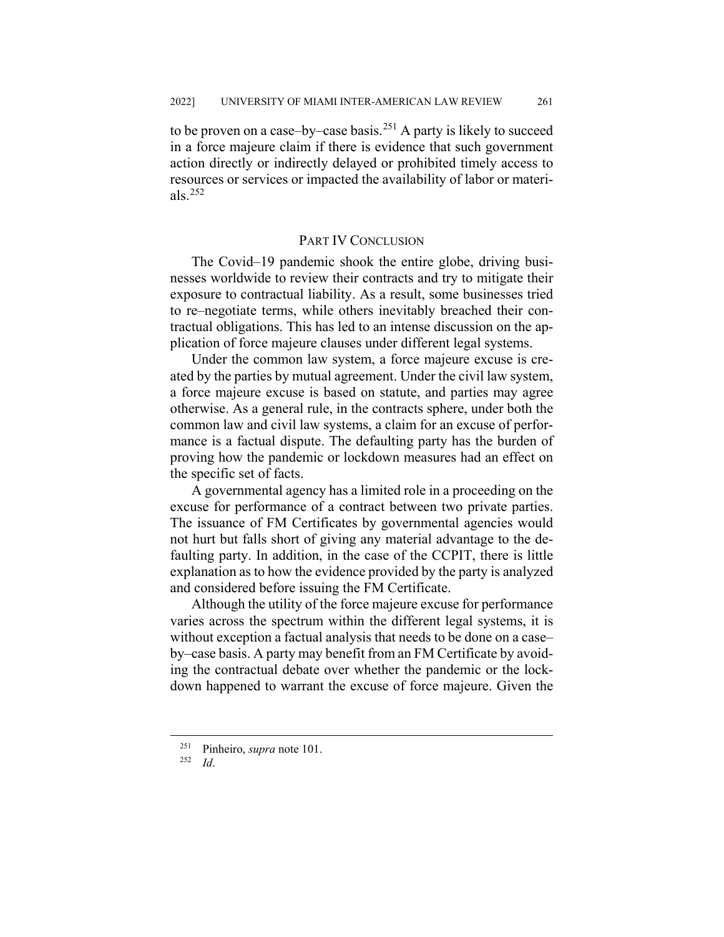to be proven on a case–by–case basis.<sup>[251](#page-35-0)</sup> A party is likely to succeed in a force majeure claim if there is evidence that such government action directly or indirectly delayed or prohibited timely access to resources or services or impacted the availability of labor or materials. $^{252}$  $^{252}$  $^{252}$ 

#### PART IV CONCLUSION

The Covid–19 pandemic shook the entire globe, driving businesses worldwide to review their contracts and try to mitigate their exposure to contractual liability. As a result, some businesses tried to re–negotiate terms, while others inevitably breached their contractual obligations. This has led to an intense discussion on the application of force majeure clauses under different legal systems.

Under the common law system, a force majeure excuse is created by the parties by mutual agreement. Under the civil law system, a force majeure excuse is based on statute, and parties may agree otherwise. As a general rule, in the contracts sphere, under both the common law and civil law systems, a claim for an excuse of performance is a factual dispute. The defaulting party has the burden of proving how the pandemic or lockdown measures had an effect on the specific set of facts.

A governmental agency has a limited role in a proceeding on the excuse for performance of a contract between two private parties. The issuance of FM Certificates by governmental agencies would not hurt but falls short of giving any material advantage to the defaulting party. In addition, in the case of the CCPIT, there is little explanation as to how the evidence provided by the party is analyzed and considered before issuing the FM Certificate.

Although the utility of the force majeure excuse for performance varies across the spectrum within the different legal systems, it is without exception a factual analysis that needs to be done on a case– by–case basis. A party may benefit from an FM Certificate by avoiding the contractual debate over whether the pandemic or the lockdown happened to warrant the excuse of force majeure. Given the

<span id="page-35-1"></span><span id="page-35-0"></span><sup>&</sup>lt;sup>251</sup> Pinheiro, *supra* note 101.

<sup>252</sup> *Id*.